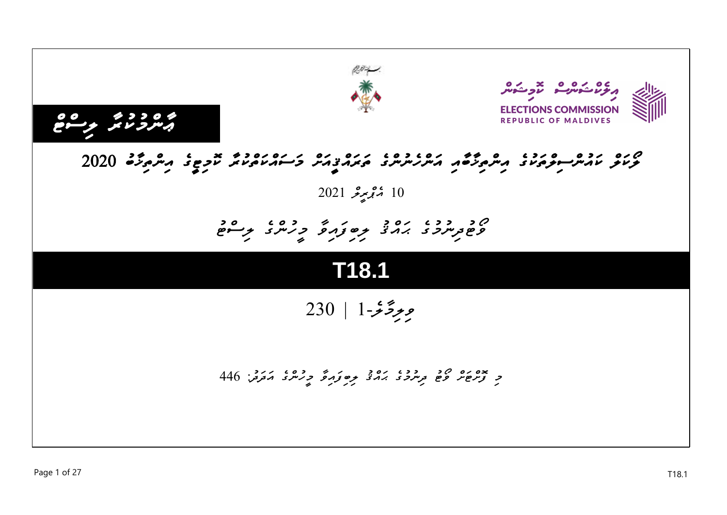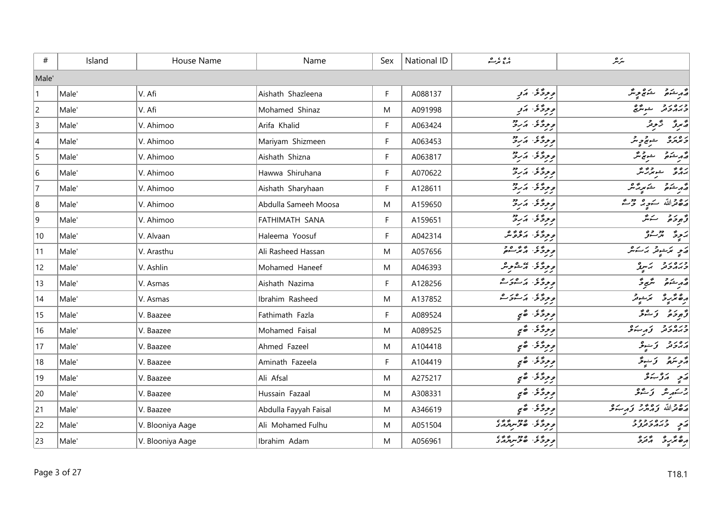| #               | Island | House Name       | Name                  | Sex | National ID | ړه پر ه                       | ىئرىتر                                                   |
|-----------------|--------|------------------|-----------------------|-----|-------------|-------------------------------|----------------------------------------------------------|
| Male'           |        |                  |                       |     |             |                               |                                                          |
|                 | Male'  | V. Afi           | Aishath Shazleena     | F   | A088137     | و د ژ د کرد                   | مەرىشكى ئىسكەم ئە                                        |
| 2               | Male'  | V. Afi           | Mohamed Shinaz        | M   | A091998     | و د ژ د کرد                   | وره دو شوش                                               |
| $\vert$ 3       | Male'  | V. Ahimoo        | Arifa Khalid          | F.  | A063424     | ە يەۋڭى ئەرى <sup>د</sup>     | پیرو محموم                                               |
| $\vert 4$       | Male'  | V. Ahimoo        | Mariyam Shizmeen      | F   | A063453     | ە دېزىق كەرد                  | د ورو شوځ چنگر                                           |
| $\overline{5}$  | Male'  | V. Ahimoo        | Aishath Shizna        | F   | A063817     | ە يەۋڭزىق ئەر <u>ەر</u>       | وكرمشكم المسونج مكر                                      |
| $\vert 6 \vert$ | Male'  | V. Ahimoo        | Hawwa Shiruhana       | F   | A070622     | ە يەۋىخ ئەرىرد                | رە ھەردە بەر<br>بەرە ھەمزىكى                             |
| $\vert$ 7       | Male'  | V. Ahimoo        | Aishath Sharyhaan     | F   | A128611     | ە يەۋىئە بەرد <sup>ە</sup>    | م شركة الشمير شكل المحمد                                 |
| 8               | Male'  | V. Ahimoo        | Abdulla Sameeh Moosa  | M   | A159650     | و د ژبو .<br>  د بر د تر د    | رە قەللە سەرچە ترك                                       |
| 9               | Male'  | V. Ahimoo        | <b>FATHIMATH SANA</b> | F   | A159651     | ە يەۋىئە ئەرى <sup>د</sup>    | ۇچ <sub>و</sub> چۇ سەنگە                                 |
| 10              | Male'  | V. Alvaan        | Haleema Yoosuf        | F   | A042314     | وودًى 1,200                   | برَبِّرِيَّ الرَّسْرُوُّ                                 |
| 11              | Male'  | V. Arasthu       | Ali Rasheed Hassan    | M   | A057656     | و دۇ ئۇ ، ئەنگە قىم           | أماسي الكرجوش الكاسكس                                    |
| 12              | Male'  | V. Ashlin        | Mohamed Haneef        | M   | A046393     | ە پەي مەھمەدىق                | ورەرو بەيدۇ                                              |
| 13              | Male'  | V. Asmas         | Aishath Nazima        | F.  | A128256     | <sub>ع</sub> بودً بم مشركته   |                                                          |
| 14              | Male'  | V. Asmas         | Ibrahim Rasheed       | M   | A137852     | <sub>عرم</sub> ورځو، بر عبر ص |                                                          |
| 15              | Male'  | V. Baazee        | Fathimath Fazla       | F   | A089524     | <sub>عرم</sub> ورځو. ځمې      | ۇچەقىمە كەشىتى                                           |
| 16              | Male'  | V. Baazee        | Mohamed Faisal        | M   | A089525     | <sub>ع</sub> روً د ځې         | ورەرو تەبىر                                              |
| 17              | Male'  | V. Baazee        | Ahmed Fazeel          | M   | A104418     | ە يەۋڭز . ھ <sup>ى</sup> ي    | پره پر تخ سپول                                           |
| 18              | Male'  | V. Baazee        | Aminath Fazeela       | F.  | A104419     | <mark>وږ</mark> ږ ئو چې       | أدوشي وكالمنافخ                                          |
| 19              | Male'  | V. Baazee        | Ali Afsal             | M   | A275217     | <sub>ع</sub> روً ڏو گھي       | أەيد أوقريدى                                             |
| 20              | Male'  | V. Baazee        | Hussain Fazaal        | M   | A308331     | و د د څو . ځې                 | چرىكىرى <i>ش تى</i> شگى                                  |
| 21              | Male'  | V. Baazee        | Abdulla Fayyah Faisal | M   | A346619     | ووژگر گامچ                    | حصرالله وحدثر ومبتك                                      |
| 22              | Male'  | V. Blooniya Aage | Ali Mohamed Fulhu     | M   | A051504     | $\frac{1}{1}$                 | ار در دورود در در در حدود کلید<br>الله په در حرور در حرو |
| 23              | Male'  | V. Blooniya Aage | Ibrahim Adam          | M   | A056961     | 222 20 20                     | دە ئەرە بەرە                                             |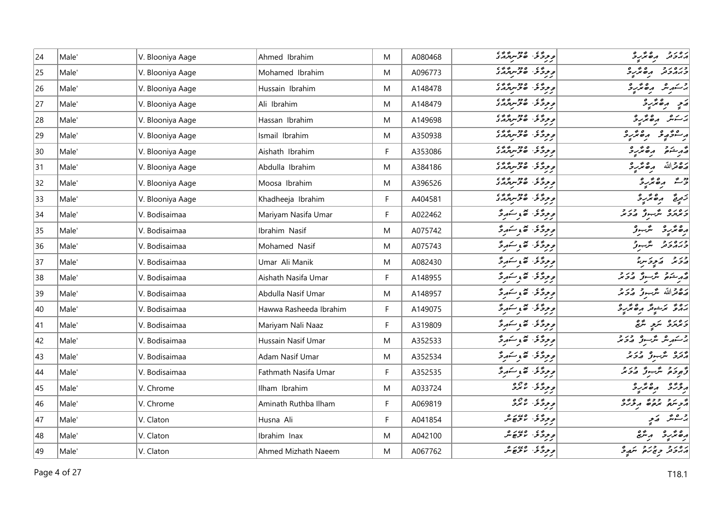| 24 | Male' | V. Blooniya Aage | Ahmed Ibrahim          | M         | A080468 |                                                                                                                                        | ەھ ترىرى<br>پروتو                              |
|----|-------|------------------|------------------------|-----------|---------|----------------------------------------------------------------------------------------------------------------------------------------|------------------------------------------------|
| 25 | Male' | V. Blooniya Aage | Mohamed Ibrahim        | M         | A096773 | و د د و د د د د د<br>و د د کر ه د سردر د                                                                                               | ەھ ئرىرى<br>و ره د د<br><i>د ب</i> رگرفر       |
| 26 | Male' | V. Blooniya Aage | Hussain Ibrahim        | M         | A148478 | و در دی دو در در                                                                                                                       | ەھ ئۆر ۋ<br>جر س <sub>ک</sub> ر مر             |
| 27 | Male' | V. Blooniya Aage | Ali Ibrahim            | M         | A148479 | د ده ده ده ده د                                                                                                                        | ړنې ره ټرېږ                                    |
| 28 | Male' | V. Blooniya Aage | Hassan Ibrahim         | M         | A149698 | ه و د کار ده د د د د                                                                                                                   | برسەمىر                                        |
| 29 | Male' | V. Blooniya Aage | Ismail Ibrahim         | M         | A350938 |                                                                                                                                        | ەھ ئرىرى<br>ارمۇمۇ                             |
| 30 | Male' | V. Blooniya Aage | Aishath Ibrahim        | F.        | A353086 | د ده ور ده ده<br>د د د کوسردرد                                                                                                         | ەھەترىرى<br>پ <sup>و</sup> پر شوې              |
| 31 | Male' | V. Blooniya Aage | Abdulla Ibrahim        | ${\sf M}$ | A384186 | د ده ده ده ده<br>د درگو افزار در                                                                                                       | ەھ ترىرى<br>بر25 الله                          |
| 32 | Male' | V. Blooniya Aage | Moosa Ibrahim          | M         | A396526 | و د د و د د د د د<br>و د د کر ه د سردر د                                                                                               | ەھ تررۈ<br>دی مشک                              |
| 33 | Male' | V. Blooniya Aage | Khadheeja Ibrahim      | F         | A404581 | د د د د د د د د<br>د د د کله د سردرد                                                                                                   | ە ھەترىرى<br>ترَورِيَّ                         |
| 34 | Male' | V. Bodisaimaa    | Mariyam Nasifa Umar    | F.        | A022462 | أو ويحو من من المريح                                                                                                                   | ג פג פי היי היה בג ב<br>בינות כי היינוצ' וגבינ |
| 35 | Male' | V. Bodisaimaa    | Ibrahim Nasif          | M         | A075742 | ە بەر ئىقى ئەسكەر ئى                                                                                                                   | ەھترىرو سۇسوۋ                                  |
| 36 | Male' | V. Bodisaimaa    | Mohamed Nasif          | M         | A075743 | ه دره د .<br>در ده د .                                                                                                                 | ورەرو شەر                                      |
| 37 | Male' | V. Bodisaimaa    | Umar Ali Manik         | M         | A082430 | و دځه ځې شمېرځ                                                                                                                         | בכב בכבית                                      |
| 38 | Male' | V. Bodisaimaa    | Aishath Nasifa Umar    | F.        | A148955 | و دې په سره په                                                                                                                         | وأرشكم الكرسوش وزار                            |
| 39 | Male' | V. Bodisaimaa    | Abdulla Nasif Umar     | M         | A148957 | ە بەر ئىچ ئەسكەر ئى<br>بەر ئەن                                                                                                         | رە ئەللە مەجبوقر مەدىمە                        |
| 40 | Male' | V. Bodisaimaa    | Hawwa Rasheeda Ibrahim | F         | A149075 | و دِ دُ د سي سُردُ                                                                                                                     | بروو برشوش رەبۇر ۋ                             |
| 41 | Male' | V. Bodisaimaa    | Mariyam Nali Naaz      | F.        | A319809 | و و د د . ه . سور د                                                                                                                    | د وړه ترې شم                                   |
| 42 | Male' | V. Bodisaimaa    | Hussain Nasif Umar     | M         | A352533 | ە بەر ئىچ ئەسكەر ئى<br>بەر ئەن                                                                                                         | بر سەر شەھرىق ھەدىر                            |
| 43 | Male' | V. Bodisaimaa    | Adam Nasif Umar        | M         | A352534 | ە يەۋىچە ھىم سەر <i>ۇ</i>                                                                                                              | أزود الرسوف أردار                              |
| 44 | Male' | V. Bodisaimaa    | Fathmath Nasifa Umar   | F         | A352535 | ە يەۋىچە ھىم سەرق                                                                                                                      | ۋۆرە ئېرىدۇ مەدىر                              |
| 45 | Male' | V. Chrome        | Ilham Ibrahim          | M         | A033724 | ە دۇنۇ ، ئايمى                                                                                                                         | مروره مقدره                                    |
| 46 | Male' | V. Chrome        | Aminath Ruthba Ilham   | F         | A069819 | و دې په ۲۶۵ وگړو                                                                                                                       | و برد دده و دوه                                |
| 47 | Male' | V. Claton        | Husna Ali              | F.        | A041854 | و د گوش موسیقی ش                                                                                                                       | 2_شىتر    كەبىي                                |
| 48 | Male' | V. Claton        | Ibrahim Inax           | M         | A042100 | و د څو ، مونو ش                                                                                                                        | ەر ھەتمەر 2<br>ب<br>بریثرچ                     |
| 49 | Male' | V. Claton        | Ahmed Mizhath Naeem    | M         | A067762 | أو وي وي من من المسلم<br>كران من المسلم المسلم المسلم المسلم المسلم المسلم المسلم المسلم المسلم المسلم المسلم المسلم المسلم المسلم الم | גפגב בשנים יתגב                                |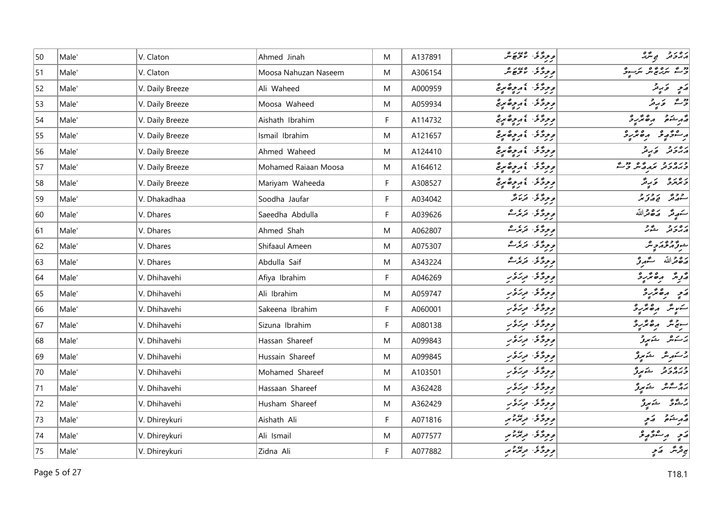| 50 | Male' | V. Claton       | Ahmed Jinah          | M         | A137891 | وبردو الأدهار                                       | أرور ويرمي                         |
|----|-------|-----------------|----------------------|-----------|---------|-----------------------------------------------------|------------------------------------|
| 51 | Male' | V. Claton       | Moosa Nahuzan Naseem | M         | A306154 | م پر چی می می می                                    | ור מי הסומס היה ס                  |
| 52 | Male' | V. Daily Breeze | Ali Waheed           | M         | A000959 |                                                     | أتكمج أتكمي تحكيم                  |
| 53 | Male' | V. Daily Breeze | Moosa Waheed         | M         | A059934 |                                                     | وه شه المح برقر                    |
| 54 | Male' | V. Daily Breeze | Aishath Ibrahim      | F         | A114732 |                                                     | ورشنتم رە ئرىر                     |
| 55 | Male' | V. Daily Breeze | Ismail Ibrahim       | M         | A121657 | و د د د .<br>و د د د .                              | ر عر و ده تر د                     |
| 56 | Male' | V. Daily Breeze | Ahmed Waheed         | ${\sf M}$ | A124410 |                                                     | رەرو كەيتر                         |
| 57 | Male' | V. Daily Breeze | Mohamed Raiaan Moosa | ${\sf M}$ | A164612 | و د د کې ، د بره بره                                | כנסגב גנדים חבי                    |
| 58 | Male' | V. Daily Breeze | Mariyam Waheeda      | F         | A308527 | وودكى بمروه يره                                     | د ۱۵ د کار تر                      |
| 59 | Male' | V. Dhakadhaa    | Soodha Jaufar        | F         | A034042 | <i>و د د د کم مرکز</i> مگر<br>  بر بر بر د کرکز مگر | دور دورو                           |
| 60 | Male' | V. Dhares       | Saeedha Abdulla      | F         | A039626 | مودۇبى قرىرى<br>  يەرىرى                            | وكحصقرالله<br>  سەھەتىر            |
| 61 | Male' | V. Dhares       | Ahmed Shah           | M         | A062807 | وودٌ دُ تربُّر ثُمَّةٍ<br> ---                      | برەر دەر                           |
| 62 | Male' | V. Dhares       | Shifaaul Ameen       | M         | A075307 | ە يەدىجى. ئەبۇر <u>م</u>                            | ىشى <i>ۋە قەتم</i> چە بىر          |
| 63 | Male' | V. Dhares       | Abdulla Saif         | ${\sf M}$ | A343224 | ا <sub>ھ پر</sub> وی <sub>ترین</sub> ے              | حده مقرالله مستعمر و               |
| 64 | Male' | V. Dhihavehi    | Afiya Ibrahim        | F         | A046269 |                                                     | הُנָת תַפּתֹל                      |
| 65 | Male' | V. Dhihavehi    | Ali Ibrahim          | ${\sf M}$ | A059747 | و و د د و رو ر                                      | أموس مره مركب                      |
| 66 | Male' | V. Dhihavehi    | Sakeena Ibrahim      | F         | A060001 | ە يەۋى ئىقتىمىسى بەرگەندار.<br>مەير قىلىما          | سكبيش مرەمخرىر                     |
| 67 | Male' | V. Dhihavehi    | Sizuna Ibrahim       | F         | A080138 | و ورٌوَ ورَءٌ ر                                     | ە ھەمگرىرى<br>بەھەمگرىرى<br>سىدىگە |
| 68 | Male' | V. Dhihavehi    | Hassan Shareef       | M         | A099843 | وودعى وركار                                         | ىزىسەش ئىشىرۇ                      |
| 69 | Male' | V. Dhihavehi    | Hussain Shareef      | M         | A099845 | وودد وزؤر                                           | چەسىرىش ھەمرو                      |
| 70 | Male' | V. Dhihavehi    | Mohamed Shareef      | M         | A103501 | و درگان درگار<br>درگان                              | ورەرو شىرو                         |
| 71 | Male' | V. Dhihavehi    | Hassaan Shareef      | M         | A362428 | و د د د و ربي                                       | برو شەر ھەمرۇ                      |
| 72 | Male' | V. Dhihavehi    | Husham Shareef       | ${\sf M}$ | A362429 | ە يەۋى ئىقتىمىسى بەرگەندار.<br>مەير قىلىما          | برْحَدَّة حَمَيْرَة                |
| 73 | Male' | V. Dhireykuri   | Aishath Ali          | F         | A071816 | ە يەۋڭ بىر يېزىق بىر<br>بەير قىلىش                  | أقهر شنعتى أقدمي                   |
| 74 | Male' | V. Dhireykuri   | Ali Ismail           | M         | A077577 | ە يەۋڭ بىر ئەرمىيە<br>مەر قىسىم بىر                 | ړنې پر عنځ په د                    |
| 75 | Male' | V. Dhireykuri   | Zidna Ali            | F         | A077882 | و دۇڭ دېرىنىمە                                      | ىر قرىئر ھەمچە                     |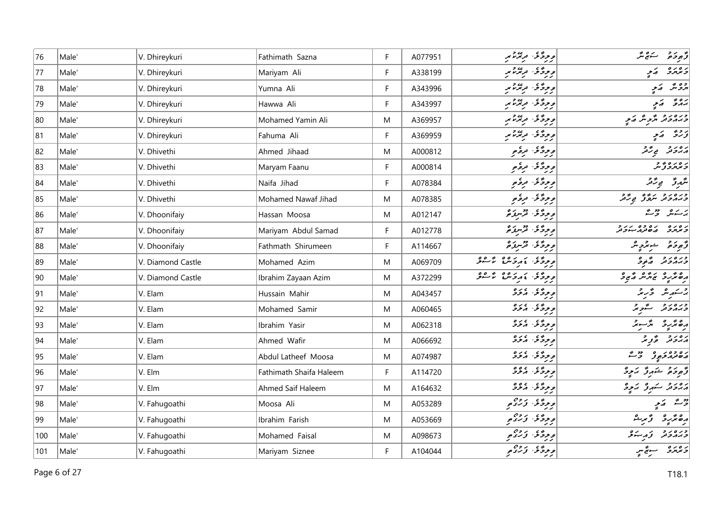| 76  | Male' | V. Dhireykuri     | Fathimath Sazna         | F         | A077951 | <i>و د څ</i> و مرغه تم                   | أوجوحو سيمتر                                                                                                                                   |
|-----|-------|-------------------|-------------------------|-----------|---------|------------------------------------------|------------------------------------------------------------------------------------------------------------------------------------------------|
| 77  | Male' | V. Dhireykuri     | Mariyam Ali             | F         | A338199 | <i>و د د څ</i> ر مر ټريز مر              | ر ه ر ه<br>  <del>ر</del> بر بر و                                                                                                              |
| 78  | Male' | V. Dhireykuri     | Yumna Ali               | F         | A343996 | <i>و و د څو مر پوره</i> مر               | ده پژ<br>ەكىپىيە                                                                                                                               |
| 79  | Male' | V. Dhireykuri     | Hawwa Ali               | F         | A343997 | و د د د به د بر<br>  بر بر د بر بر بر بر | $\begin{array}{cc} \mathcal{L}_{\mathcal{A}} & \mathcal{L}_{\mathcal{A}} \\ \mathcal{L}_{\mathcal{A}} & \mathcal{L}_{\mathcal{A}} \end{array}$ |
| 80  | Male' | V. Dhireykuri     | Mohamed Yamin Ali       | ${\sf M}$ | A369957 | <i>و د د ځی</i> مرغه مر                  |                                                                                                                                                |
| 81  | Male' | V. Dhireykuri     | Fahuma Ali              | F         | A369959 | و د د د .<br>د ر د د بر د بر             | تزردي الكامي                                                                                                                                   |
| 82  | Male' | V. Dhivethi       | Ahmed Jihaad            | M         | A000812 | و وژگر و وه و                            | أرەر 3 يەر تەر                                                                                                                                 |
| 83  | Male' | V. Dhivethi       | Maryam Faanu            | F         | A000814 | و وژگر و وه و                            | ر ه ر ه و و<br><del>د</del> بربرو ژ س                                                                                                          |
| 84  | Male' | V. Dhivethi       | Naifa Jihad             | F         | A078384 | <i>و و</i> وٌ وَ مره مو                  | شمرژ ویژنر                                                                                                                                     |
| 85  | Male' | V. Dhivethi       | Mohamed Nawaf Jihad     | M         | A078385 | <i>و د د څ</i> و سره مو                  | وره رو روو و و د                                                                                                                               |
| 86  | Male' | V. Dhoonifaiy     | Hassan Moosa            | M         | A012147 | وبردو وربره                              | ير سند و و م                                                                                                                                   |
| 87  | Male' | V. Dhoonifaiy     | Mariyam Abdul Samad     | F         | A012778 | أو ودعو المستركو                         | נ סנים נוספם נגב<br>בינו <i>וב גם נ</i> ומהפינ                                                                                                 |
| 88  | Male' | V. Dhoonifaiy     | Fathmath Shirumeen      | F         | A114667 | مودوع المسترجم                           | تزود ومن ويتور                                                                                                                                 |
| 89  | Male' | V. Diamond Castle | Mohamed Azim            | ${\sf M}$ | A069709 | وود و ارده و ده                          | ورەرو ئەرە                                                                                                                                     |
| 90  | Male' | V. Diamond Castle | Ibrahim Zayaan Azim     | M         | A372299 | وود و ارد و و دو و                       |                                                                                                                                                |
| 91  | Male' | V. Elam           | Hussain Mahir           | M         | A043457 | وبودٌ و ، دود                            | 2 سەر شەر ئەر بۇ                                                                                                                               |
| 92  | Male' | V. Elam           | Mohamed Samir           | M         | A060465 | و ودٌ تر ، دو د                          |                                                                                                                                                |
| 93  | Male' | V. Elam           | Ibrahim Yasir           | M         | A062318 | <sub>و پرځ</sub> ي. پره<br>ر             | رە ئەر ئەسىر                                                                                                                                   |
| 94  | Male' | V. Elam           | Ahmed Wafir             | M         | A066692 | مودٌ دُ کرده                             | رەرد ۋېر                                                                                                                                       |
| 95  | Male' | V. Elam           | Abdul Latheef Moosa     | M         | A074987 | وودٌ دُ ' دُوَدٌ                         |                                                                                                                                                |
| 96  | Male' | V. Elm            | Fathimath Shaifa Haleem | F         | A114720 | و د د کار وه<br>ربر                      | وتجوفا والمتمرق الكرفي                                                                                                                         |
| 97  | Male' | V. Elm            | Ahmed Saif Haleem       | ${\sf M}$ | A164632 | ە يەۋىخى مەدەر<br>سىر قىلىم يور          | أرورو ستهزؤ أترجي                                                                                                                              |
| 98  | Male' | V. Fahugoathi     | Moosa Ali               | ${\sf M}$ | A053289 | ە دۇنۇ. ئەدەر                            | $\frac{1}{2}$ $\frac{2}{3}$                                                                                                                    |
| 99  | Male' | V. Fahugoathi     | Ibrahim Farish          | ${\sf M}$ | A053669 | و و د د و د ده و<br>  د ر د د ر د د و    | رەنۇرۇ ئېرى                                                                                                                                    |
| 100 | Male' | V. Fahugoathi     | Mohamed Faisal          | M         | A098673 | وودعى ورهمو                              | ورودة وكربتكم                                                                                                                                  |
| 101 | Male' | V. Fahugoathi     | Mariyam Siznee          | F         | A104044 | مورد بود موجه مورد مو                    | ويورو سوهر                                                                                                                                     |
|     |       |                   |                         |           |         |                                          |                                                                                                                                                |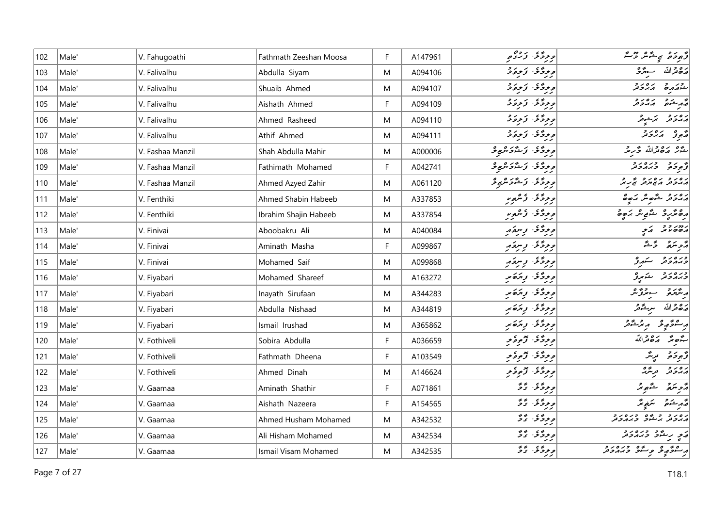| 102 | Male' | V. Fahugoathi    | Fathmath Zeeshan Moosa | F.          | A147961 | و و د د و د د ه و هم            | أؤودة بإحقار ومث                           |
|-----|-------|------------------|------------------------|-------------|---------|---------------------------------|--------------------------------------------|
| 103 | Male' | V. Falivalhu     | Abdulla Siyam          | M           | A094106 | وودٌ وَ وَوَدَ                  | أرة قرالله سترد                            |
| 104 | Male' | V. Falivalhu     | Shuaib Ahmed           | M           | A094107 | وودٌ وَ وَ وَ وَ دَ             |                                            |
| 105 | Male' | V. Falivalhu     | Aishath Ahmed          | F           | A094109 | <i>و ودٌ</i> تَرَ وَ وَ وَ تَرْ | أقهر شوق المركز وراد                       |
| 106 | Male' | V. Falivalhu     | Ahmed Rasheed          | M           | A094110 | و و د د .<br>  د بر د .         | رەرو كەشەر<br>مەرى كەشەر                   |
| 107 | Male' | V. Falivalhu     | Athif Ahmed            | M           | A094111 | أوودة والمواذر                  | و وه ده د د د                              |
| 108 | Male' | V. Fashaa Manzil | Shah Abdulla Mahir     | M           | A000006 | ووۇۋ زىقۇمرى                    | فشم رەمدالله ځرمه                          |
| 109 | Male' | V. Fashaa Manzil | Fathimath Mohamed      | $\mathsf F$ | A042741 | ورۇپ زىئەزىر پو                 | و دو وره دو                                |
| 110 | Male' | V. Fashaa Manzil | Ahmed Azyed Zahir      | M           | A061120 | وودَّ دَ الشَّرَسْعِ وَ         | גפנג גפנג התולי                            |
| 111 | Male' | V. Fenthiki      | Ahmed Shabin Habeeb    | M           | A337853 | و دۇنۇ، ئۇمبرىر                 | رەر دېھ شەھ بەھ                            |
| 112 | Male' | V. Fenthiki      | Ibrahim Shajin Habeeb  | M           | A337854 | ووڈۇ زېھور                      | مەنزىق سۇم ئەھ                             |
| 113 | Male' | V. Finivai       | Aboobakru Ali          | M           | A040084 | و و د د و سره د                 |                                            |
| 114 | Male' | V. Finivai       | Aminath Masha          | F           | A099867 | وودعى وبرغار                    | ړ د په د ځ                                 |
| 115 | Male' | V. Finivai       | Mohamed Saif           | M           | A099868 | وودعى وبرءكه                    | ورەرو سەرو                                 |
| 116 | Male' | V. Fiyabari      | Mohamed Shareef        | M           | A163272 | ودؤكى ومقبر                     | ورەرو شەرۇ                                 |
| 117 | Male' | V. Fiyabari      | Inayath Sirufaan       | M           | A344283 | وودعى ويزةبر                    | ە ئىگەنى سىترۇش                            |
| 118 | Male' | V. Fiyabari      | Abdulla Nishaad        | M           | A344819 | وودد ويزةبر                     | رەقماللە سىشىر                             |
| 119 | Male' | V. Fiyabari      | Ismail Irushad         | M           | A365862 | وودَّ وَارْحَب                  | ر جۇربۇ رىرشۇر                             |
| 120 | Male' | V. Fothiveli     | Sobira Abdulla         | F           | A036659 | وودد وسموء                      | جَعةَ مَصْعَداللَّه                        |
| 121 | Male' | V. Fothiveli     | Fathmath Dheena        | F           | A103549 | و دؤڈ زموفر                     | ۇۋۇقۇ بېرىگە                               |
| 122 | Male' | V. Fothiveli     | Ahmed Dinah            | M           | A146624 | و دؤڈ تو وڈر                    | پره د په پرسر کر                           |
| 123 | Male' | V. Gaamaa        | Aminath Shathir        | F           | A071861 | ا <sub>م</sub> وڈڈ ڈڈ           | وحرسكم المشجونر                            |
| 124 | Male' | V. Gaamaa        | Aishath Nazeera        | F           | A154565 | اء دِدَّدَ کُرْ                 | قەرشۇق سىنچە ئىگە                          |
| 125 | Male' | V. Gaamaa        | Ahmed Husham Mohamed   | M           | A342532 | و و د د د د د د                 | ره روح عدده وره رو<br>مدونر برخود وبرماونر |
| 126 | Male' | V. Gaamaa        | Ali Hisham Mohamed     | M           | A342534 | و دِ دَ دَ دَ دَ دَ             | أركمي المشروح والمروار                     |
| 127 | Male' | V. Gaamaa        | Ismail Visam Mohamed   | M           | A342535 | <i>و د د</i> گر گرگر            | د صورته و سود دره د د                      |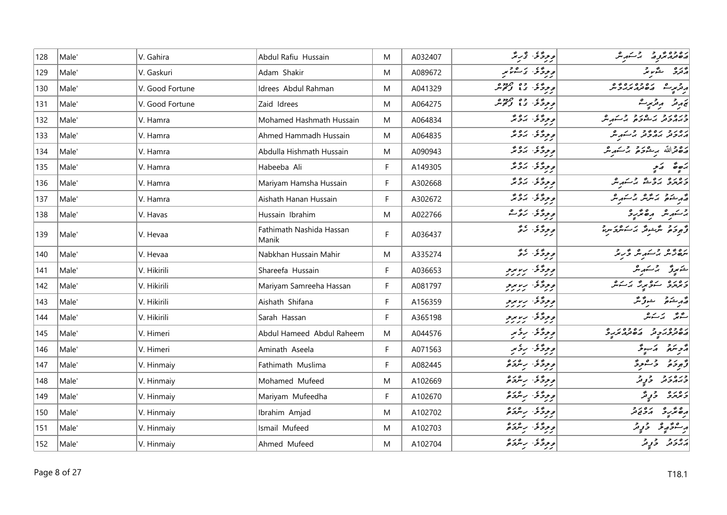| 128 | Male' | V. Gahira       | Abdul Rafiu Hussain               | M           | A032407 | وِ وِ دَّ دَ تَذَرِ بَدُّ         | גם כם מזיקה מיליקיית                                            |
|-----|-------|-----------------|-----------------------------------|-------------|---------|-----------------------------------|-----------------------------------------------------------------|
| 129 | Male' | V. Gaskuri      | Adam Shakir                       | M           | A089672 | مودۇبى ئەسىمىيە                   | دره شورد<br>م <sup>و</sup> رد شوربر                             |
| 130 | Male' | V. Good Fortune | Idrees Abdul Rahman               | M           | A041329 | موځنۍ وه موړه م                   |                                                                 |
| 131 | Male' | V. Good Fortune | Zaid Idrees                       | M           | A064275 | مورځ د مور مور م                  | تمریز ریز پر                                                    |
| 132 | Male' | V. Hamra        | Mohamed Hashmath Hussain          | M           | A064834 | و د د د . ره د                    | ورەر دىر دەرد دىر                                               |
| 133 | Male' | V. Hamra        | Ahmed Hammadh Hussain             | M           | A064835 | و د د د . ز د تر                  | رەر د رەپ د دىكەر                                               |
| 134 | Male' | V. Hamra        | Abdulla Hishmath Hussain          | M           | A090943 | وودځو بروبړ                       | رە والله برېمو و مسكور مگر<br>مەھىرالله برېموخو مرگ             |
| 135 | Male' | V. Hamra        | Habeeba Ali                       | F           | A149305 | مودٌ دُ برویز                     | برَه صَدَ دِ                                                    |
| 136 | Male' | V. Hamra        | Mariyam Hamsha Hussain            | $\mathsf F$ | A302668 | مودگور بره م                      |                                                                 |
| 137 | Male' | V. Hamra        | Aishath Hanan Hussain             | $\mathsf F$ | A302672 | أو ودعى روم                       | ەرشە ئەش ئەسىر                                                  |
| 138 | Male' | V. Havas        | Hussain Ibrahim                   | M           | A022766 | <sub>و پر</sub> وگو. رَوَّتْ      | بر سکر ملا میں مقابل کی د                                       |
| 139 | Male' | V. Hevaa        | Fathimath Nashida Hassan<br>Manik | F.          | A036437 | ە دۇئى زۇ                         | ۇپروتۇ ئېتونگە ئەسكىرىدىنى ئېرىد                                |
| 140 | Male' | V. Hevaa        | Nabkhan Hussain Mahir             | M           | A335274 | مودٌ دُ کُرُّ                     | ىرە بۇ ھەسەر ھەر بۇ يەنز<br>سەھ ئەھرىرى بىر                     |
| 141 | Male' | V. Hikirili     | Shareefa Hussain                  | F           | A036653 | و ودځې رړبرو<br>  ر               | ے پروگر دے کہ مگر<br>دے رہے ہوئے دیکھیے<br>دیمبرو سکو پرش دے کر |
| 142 | Male' | V. Hikirili     | Mariyam Samreeha Hassan           | F           | A081797 | مورد در مدرد<br>  مورد در مدرد ر  |                                                                 |
| 143 | Male' | V. Hikirili     | Aishath Shifana                   | $\mathsf F$ | A156359 | ووۋې رىيىرو                       | ۇرمىقۇ ھۆرگە                                                    |
| 144 | Male' | V. Hikirili     | Sarah Hassan                      | $\mathsf F$ | A365198 | ە ئەۋگە رىدىدى<br>مەرگە ئەرىرىدىن | السكانكر المركباني                                              |
| 145 | Male' | V. Himeri       | Abdul Hameed Abdul Raheem         | M           | A044576 | وودٌ وَ ردْ بر                    | נס כסני כדי הס כסני ה                                           |
| 146 | Male' | V. Himeri       | Aminath Aseela                    | $\mathsf F$ | A071563 | وودٌ وَ ردْ بر                    | ۇرچىنى مەسىر                                                    |
| 147 | Male' | V. Hinmaiy      | Fathimath Muslima                 | F           | A082445 | و و و گور را براه و ده            | وتجاوز ومستور                                                   |
| 148 | Male' | V. Hinmaiy      | Mohamed Mufeed                    | M           | A102669 | و دی به مقدم                      | ورەر دېد                                                        |
| 149 | Male' | V. Hinmaiy      | Mariyam Mufeedha                  | F.          | A102670 | وودً و سرده                       | د پروژ و د پر                                                   |
| 150 | Male' | V. Hinmaiy      | Ibrahim Amjad                     | M           | A102702 | <i>و د د گ</i> ور سر مرد و        | دە ئەر ئەدەر د                                                  |
| 151 | Male' | V. Hinmaiy      | Ismail Mufeed                     | M           | A102703 | و و د د .<br>د ر د .              | ر حوړو وړو                                                      |
| 152 | Male' | V. Hinmaiy      | Ahmed Mufeed                      | M           | A102704 | أو و دعمز ره ده.                  | ړه رو وړتر                                                      |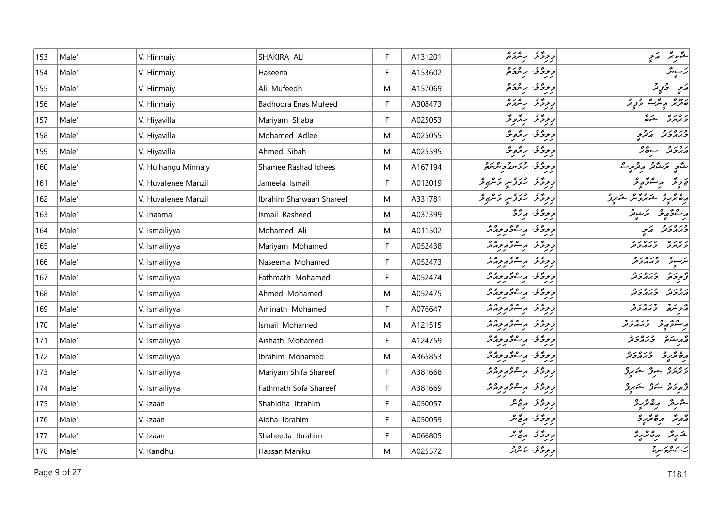| 153 | Male' | V. Hinmaiy          | SHAKIRA ALI              | F         | A131201 | وودٌ وَ ريمهم                     | برنو                                                          |
|-----|-------|---------------------|--------------------------|-----------|---------|-----------------------------------|---------------------------------------------------------------|
| 154 | Male' | V. Hinmaiy          | Haseena                  | F         | A153602 | وبردمى رعره                       |                                                               |
| 155 | Male' | V. Hinmaiy          | Ali Mufeedh              | M         | A157069 | و دؤڈ سر مرد ہ                    | پر په د څو په تر                                              |
| 156 | Male' | V. Hinmaiy          | Badhoora Enas Mufeed     | F         | A308473 | و وگړي . ره ده                    | ەددۇ. مەش- دېرىت                                              |
| 157 | Male' | V. Hiyavilla        | Mariyam Shaba            | F         | A025053 | <sub>عر</sub> ىرى ئى سەرىمى ئى    | ر ه بر ه<br><del>د</del> بر بر و                              |
| 158 | Male' | V. Hiyavilla        | Mohamed Adlee            | M         | A025055 | وود و برود                        | ورەر دۇر                                                      |
| 159 | Male' | V. Hiyavilla        | Ahmed Sibah              | M         | A025595 | ووۋۇ بەزۇۋ                        | ره رو سوه د                                                   |
| 160 | Male' | V. Hulhangu Minnaiy | Shamee Rashad Idrees     | M         | A167194 | وبردمى الركاسي والرسمى            |                                                               |
| 161 | Male' | V. Huvafenee Manzil | Jameela Ismail           | F.        | A012019 | وودَّ وَالرَّوْسِ وَلَمْدِوْ      | في في فراند و المركز و المركز                                 |
| 162 | Male' | V. Huvafenee Manzil | Ibrahim Sharwaan Shareef | M         | A331781 | وودَّى زَءَ دَ سٍ دَمْرُ وِ       | مەھەرى ئەمرەش ئەمرۇ                                           |
| 163 | Male' | V. Ihaama           | Ismail Rasheed           | M         | A037399 | <i>و د د د د د د د</i>            | ر عۇرپۇ ئېھىد                                                 |
| 164 | Male' | V. Ismailiyya       | Mohamed Ali              | M         | A011502 | وودعى وبحدوه والمجم               | ورەرد كەي                                                     |
| 165 | Male' | V. Ismailiyya       | Mariyam Mohamed          | F         | A052438 | أوود والمستجمع والمجمد            | و ره ر د<br><i>و پ</i> رو تر<br>ر ه ر ه<br><del>ر</del> بربرو |
| 166 | Male' | V. Ismailiyya       | Naseema Mohamed          | F         | A052473 | وود و مشخص ده د                   | و ره ر د<br>تر پر ژمر<br>ىئەسىرى                              |
| 167 | Male' | V. Ismailiyya       | Fathmath Mohamed         | F         | A052474 | <i>פיביצי</i> ו <i>דייבו</i> בנות | و ره ر د<br><i>د ب</i> رگرفر<br>و په پر د                     |
| 168 | Male' | V. Ismailiyya       | Ahmed Mohamed            | M         | A052475 |                                   | ر ە ر د<br>و رە ر د<br>تر پر تر تر                            |
| 169 | Male' | V. Ismailiyya       | Aminath Mohamed          | F.        | A076647 | <i>פינבי ו</i> לינדי מי           | 2,012 2,012<br>גרשיתם בגבשת                                   |
| 170 | Male' | V. Ismailiyya       | Ismail Mohamed           | M         | A121515 | ودؤة وصؤوبوه                      | بر عرصم وره د د                                               |
| 171 | Male' | V. Ismailiyya       | Aishath Mohamed          | F.        | A124759 | وود و مشوه وا                     | د دره دره در در د                                             |
| 172 | Male' | V. Ismailiyya       | Ibrahim Mohamed          | M         | A365853 | ودؤة ومشتر وودة                   | مەھەر ئەمدەر                                                  |
| 173 | Male' | V. Ismailiyya       | Mariyam Shifa Shareef    | F         | A381668 | وود و منده وا                     | ويرتزوا حارش الحامرو                                          |
| 174 | Male' | V. Ismailiyya       | Fathmath Sofa Shareef    | F         | A381669 | وود و مشوه وا                     | ۇۋەق بىرۇ شىرو                                                |
| 175 | Male' | V. Izaan            | Shahidha Ibrahim         | F         | A050057 | و د د د .<br>  د بر د بر مي ش     | شمرقر مرەتمرىۋ                                                |
| 176 | Male' | V. Izaan            | Aidha Ibrahim            | F         | A050059 | <i>و د دُ</i> ځريه رځ مر          | أمار معتبرة                                                   |
| 177 | Male' | V. Izaan            | Shaheeda Ibrahim         | F         | A066805 | <i>و د د څ</i> و برځ مر           | ە ھەترىرى<br>مەھەترىرى<br>ىشەر بەگە<br>ئە                     |
| 178 | Male' | V. Kandhu           | Hassan Maniku            | ${\sf M}$ | A025572 | مورد تحقیقی میکند.<br>مرکز میکند  | ىز سەھ <sub>ە</sub> ر سەرىيە                                  |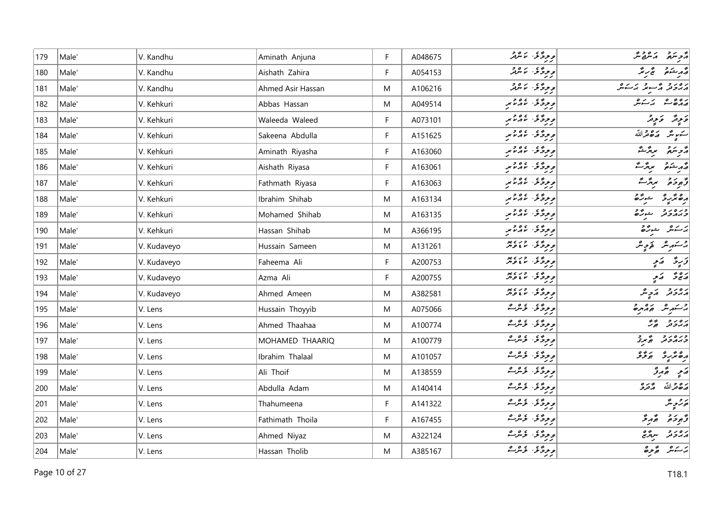| 179 | Male' | V. Kandhu   | Aminath Anjuna    | F  | A048675 | و د د که ۱۰ مگرمر                       |                                                                     |
|-----|-------|-------------|-------------------|----|---------|-----------------------------------------|---------------------------------------------------------------------|
| 180 | Male' | V. Kandhu   | Aishath Zahira    | F. | A054153 | موجوعى ما عرفته                         | كم مريضة والمحرمة                                                   |
| 181 | Male' | V. Kandhu   | Ahmed Asir Hassan | M  | A106216 | و د د د . ، ، ماروز                     | ەرەر ئەسىر ئەسەر                                                    |
| 182 | Male' | V. Kehkuri  | Abbas Hassan      | M  | A049514 | مودڅو ۱۳۵۲ مر                           | رەۋ ئەسكىر                                                          |
| 183 | Male' | V. Kehkuri  | Waleeda Waleed    | F  | A073101 | ە دۇنۇ بەدە بىر<br>رىر                  | كالمحيض كالمحيض                                                     |
| 184 | Male' | V. Kehkuri  | Sakeena Abdulla   | F  | A151625 | و د د د .<br>و د د د . ۱۸۷۰ بر          | سەرپەتتر كەھەتىراللە                                                |
| 185 | Male' | V. Kehkuri  | Aminath Riyasha   | F  | A163060 | و د د د . ، ، ، ، .                     | أأدوسكم المراكبة                                                    |
| 186 | Male' | V. Kehkuri  | Aishath Riyasa    | F  | A163061 | و د ځو ، ۱۳۷۰ پر                        | أقامر منكافه المروشة                                                |
| 187 | Male' | V. Kehkuri  | Fathmath Riyasa   | F  | A163063 | موڅو عوضي عام د موسيق<br>  مرسم د موسيق | أزودة برائث                                                         |
| 188 | Male' | V. Kehkuri  | Ibrahim Shihab    | M  | A163134 | و د ژ د ، ، د ، د بر                    | $rac{1}{2}$                                                         |
| 189 | Male' | V. Kehkuri  | Mohamed Shihab    | M  | A163135 | موځو عده مخ                             | وره رو شوره<br>وبرورو شوره                                          |
| 190 | Male' | V. Kehkuri  | Hassan Shihab     | M  | A366195 | ە دېجۇ ، مەمىر<br>رىر                   | ىز كەش سەرگە <mark>چ</mark><br>م                                    |
| 191 | Male' | V. Kudaveyo | Hussain Sameen    | M  | A131261 | أو و و و د ، د د بر د                   | برسكريش كوكم ينثر                                                   |
| 192 | Male' | V. Kudaveyo | Faheema Ali       | F  | A200753 | ە دېگرىنى<br>مەرگە ئىسىم                | تخريرى المكامي                                                      |
| 193 | Male' | V. Kudaveyo | Azma Ali          | F  | A200755 | ە يەرىپى دىرىپە                         | 5.67                                                                |
| 194 | Male' | V. Kudaveyo | Ahmed Ameen       | M  | A382581 | <sub>ع</sub> يوڅنو . د بر ، بر          | ره د د چې کرې په کار کلي.<br>مهرچينې مرکب                           |
| 195 | Male' | V. Lens     | Hussain Thoyyib   | M  | A075066 | وبردً و و و عرف                         | $\begin{vmatrix} 2 & 0 & 0 \\ 0 & 2 & 0 \\ 0 & 0 & 0 \end{vmatrix}$ |
| 196 | Male' | V. Lens     | Ahmed Thaahaa     | M  | A100774 | ویودٌ دَ دُ مُرْتُ                      | ره رو په د                                                          |
| 197 | Male' | V. Lens     | MOHAMED THAARIQ   | M  | A100779 | ووڈڈ کی میرے<br> ر                      | ورەرو ئەرو                                                          |
| 198 | Male' | V. Lens     | Ibrahim Thalaal   | M  | A101057 | ا <sub>ھ پو</sub> ڙي. ٽوپرت<br>ڪ        | دەنزىر بودۇ                                                         |
| 199 | Male' | V. Lens     | Ali Thoif         | M  | A138559 | ە يەۋى كەن<br>كەر                       | $\begin{array}{cc} 2 & 2 & 2 \\ 2 & 2 & 2 \end{array}$              |
| 200 | Male' | V. Lens     | Abdulla Adam      | M  | A140414 | وودعى وتدع                              | 200 مرالله<br>په ره<br>د ترو                                        |
| 201 | Male' | V. Lens     | Thahumeena        | F  | A141322 | ە دۇئۇ . ئۇنىر شە                       | ىر ج <sub>ە جە</sub> ئىگە                                           |
| 202 | Male' | V. Lens     | Fathimath Thoila  | F. | A167455 | وبورٌ تو نو نور هو هو                   | توالجو خوارقه                                                       |
| 203 | Male' | V. Lens     | Ahmed Niyaz       | M  | A322124 | <i>و د د څ</i> و کورگ                   | بر ه بر د<br>م. <i>ب</i> رو تنر<br>سروه                             |
| 204 | Male' | V. Lens     | Hassan Tholib     | M  | A385167 | مودوَّى عمره                            | برَسكس برَّورة                                                      |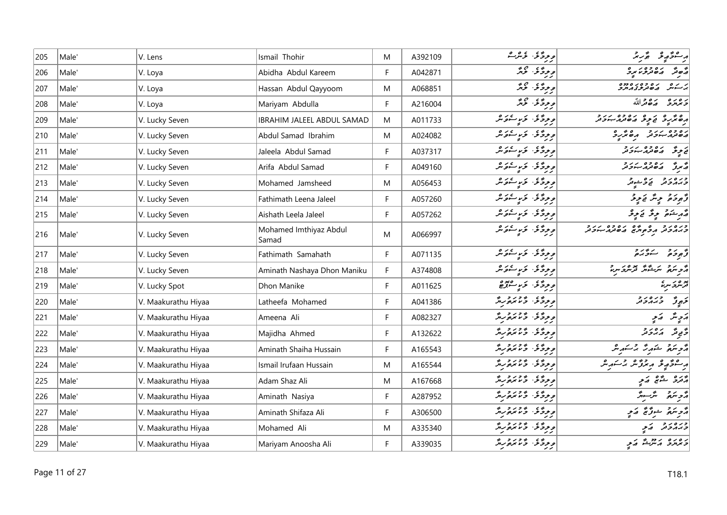| 205 | Male' | V. Lens             | Ismail Thohir                     | M         | A392109 | <sub>ج</sub> بودم د محرم شرکت ا             | رستمونيو پورېز                                |
|-----|-------|---------------------|-----------------------------------|-----------|---------|---------------------------------------------|-----------------------------------------------|
| 206 | Male' | V. Loya             | Abidha Abdul Kareem               | F         | A042871 |                                             | أرصم أرە وەرىرە                               |
| 207 | Male' | V. Loya             | Hassan Abdul Qayyoom              | M         | A068851 | و د د د . د .                               | ر کره ده ده ده ده ده<br>بر کره پره تر د تر در |
| 208 | Male' | V. Loya             | Mariyam Abdulla                   | F         | A216004 | <sub>ع</sub> بردمجو محمد                    | رەرە رەقراللە                                 |
| 209 | Male' | V. Lucky Seven      | <b>IBRAHIM JALEEL ABDUL SAMAD</b> | M         | A011733 | وودٌ دَ سَنَ مَهْ مَد                       |                                               |
| 210 | Male' | V. Lucky Seven      | Abdul Samad Ibrahim               | M         | A024082 | <sub>جرم</sub> ورمئ <sub>تح</sub> ريد من مر | גם כם גגב הם מבים.<br>הסנגה הכנג הסמנים       |
| 211 | Male' | V. Lucky Seven      | Jaleela Abdul Samad               | F         | A037317 | <sub>ج</sub> ودگري ځېږشوشر                  | د و ده در د و در د                            |
| 212 | Male' | V. Lucky Seven      | Arifa Abdul Samad                 | F         | A049160 | ووۇڭ ئۈيەسىمىر                              | د ده ده ده در د<br>مگرفت مان همدار سوفر       |
| 213 | Male' | V. Lucky Seven      | Mohamed Jamsheed                  | M         | A056453 | <sub>وپر</sub> ۇي <sub>كىي</sub> اسىمىر     | ورەر يەھىسىم                                  |
| 214 | Male' | V. Lucky Seven      | Fathimath Leena Jaleel            | F         | A057260 | ووۇپ ئەربىر ھ                               | اڙبوڌي چِيڙ ۾َجِيڙ                            |
| 215 | Male' | V. Lucky Seven      | Aishath Leela Jaleel              | F         | A057262 | <sub>وپر</sub> ۇ ئۇن ئەر ئەر ئىر            | ۇرمىتو پۇ قوپ                                 |
| 216 | Male' | V. Lucky Seven      | Mohamed Imthiyaz Abdul<br>Samad   | ${\sf M}$ | A066997 | موجوعي بحريد عمر عر                         | כנסנד - ס יכס נפס נגד<br>במגבת גבתהש גםתג-יכת |
| 217 | Male' | V. Lucky Seven      | Fathimath Samahath                | F         | A071135 | وودٌ دَ سَوَ سُوَ مَدْ                      | قرودة سنورد                                   |
| 218 | Male' | V. Lucky Seven      | Aminath Nashaya Dhon Maniku       | F         | A374808 | <sub>وپرچ</sub> وکو، نور سور میں<br> <br> - | ה הודי היי מודי מודי את י                     |
| 219 | Male' | V. Lucky Spot       | Dhon Manike                       | F         | A011625 | و دِدَّدَ زَرِ مِيرِهِ                      | یو ۵ پر ر <sup>ج</sup>                        |
| 220 | Male' | V. Maakurathu Hiyaa | Latheefa Mohamed                  | F         | A041386 | وود و درو و                                 | و ره ر د<br><i>د ټ</i> رو تر<br>ځږوتر         |
| 221 | Male' | V. Maakurathu Hiyaa | Ameena Ali                        | F         | A082327 | وتروش وردور                                 | أرويتر أركمو                                  |
| 222 | Male' | V. Maakurathu Hiyaa | Majidha Ahmed                     | F         | A132622 | - دي. در در د                               | وٌ مِي په دورو                                |
| 223 | Male' | V. Maakurathu Hiyaa | Aminath Shaiha Hussain            | F         | A165543 | و و ځو د کام ده د کړ                        | أزويتم عكرته برسكريش                          |
| 224 | Male' | V. Maakurathu Hiyaa | Ismail Irufaan Hussain            | M         | A165544 | ووڈنق درورو                                 | راء د په د مرو شرکت بر شرکتر مر               |
| 225 | Male' | V. Maakurathu Hiyaa | Adam Shaz Ali                     | M         | A167668 | وود و در در د                               | أأزندو الشيح أيكمح                            |
| 226 | Male' | V. Maakurathu Hiyaa | Aminath Nasiya                    | F         | A287952 | و د ځو . د د د د و                          | أرجم ستراسته                                  |
| 227 | Male' | V. Maakurathu Hiyaa | Aminath Shifaza Ali               | F         | A306500 | ووڈ تو در دیگر                              | أُمُّحِ سَمَّةً ۖ شَوَرٌّ ۚ أَمَرٌ ۖ إِ       |
| 228 | Male' | V. Maakurathu Hiyaa | Mohamed Ali                       | M         | A335340 | و و و و و در و رو                           | ورەر د كمبر                                   |
| 229 | Male' | V. Maakurathu Hiyaa | Mariyam Anoosha Ali               | F         | A339035 | و د د کار د د د بر                          | رەرە بەھقە كەب                                |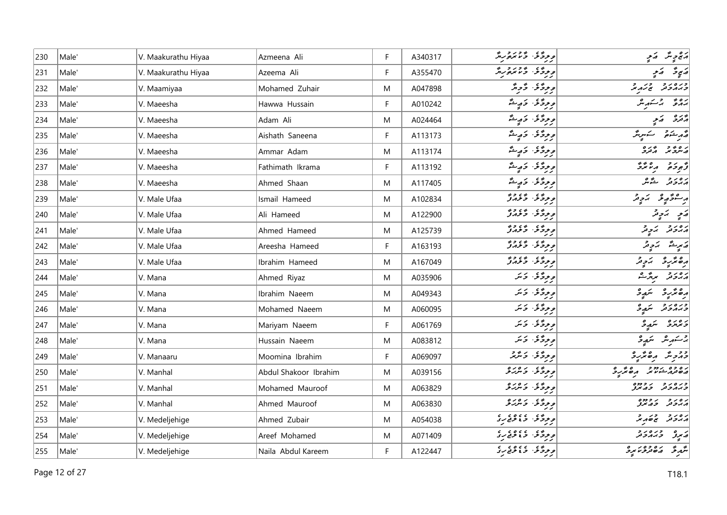| 230 | Male' | V. Maakurathu Hiyaa | Azmeena Ali           | F  | A340317 | وتروش وبالمرورة                    | أرجي حيثم أأتكفح                                                                                                                                                                                       |
|-----|-------|---------------------|-----------------------|----|---------|------------------------------------|--------------------------------------------------------------------------------------------------------------------------------------------------------------------------------------------------------|
| 231 | Male' | V. Maakurathu Hiyaa | Azeema Ali            | F. | A355470 | و د ځو . د د د د پر                | $\begin{array}{cc} \mathcal{L}_{\mathcal{A}} & \mathcal{L}_{\mathcal{A}} & \mathcal{L}_{\mathcal{A}} \\ \mathcal{L}_{\mathcal{A}} & \mathcal{L}_{\mathcal{A}} & \mathcal{L}_{\mathcal{A}} \end{array}$ |
| 232 | Male' | V. Maamiyaa         | Mohamed Zuhair        | M  | A047898 | و دِ دَ دَ دَ دِ دَ ٔ              |                                                                                                                                                                                                        |
| 233 | Male' | V. Maeesha          | Hawwa Hussain         | F  | A010242 | ووژکر ژړید                         | برە پىر                                                                                                                                                                                                |
| 234 | Male' | V. Maeesha          | Adam Ali              | M  | A024464 | وودٌ ذَرٍ مَدَّ                    | أزوده أيزمج                                                                                                                                                                                            |
| 235 | Male' | V. Maeesha          | Aishath Saneena       | F  | A113173 | أوودٌ وَكَمَ اللَّهِ وَاللَّهِ     | قەرشكى سكىپرىتر                                                                                                                                                                                        |
| 236 | Male' | V. Maeesha          | Ammar Adam            | M  | A113174 | أو ودٌ دُ أَوَ اللَّهِ عَلَمَ      | נ ס ש כ שנים<br>הייעוביות הבנים                                                                                                                                                                        |
| 237 | Male' | V. Maeesha          | Fathimath Ikrama      | F  | A113192 | أوودٌ وَكَمَ وَاللَّهِ وَ          | أزّوجه وعندة                                                                                                                                                                                           |
| 238 | Male' | V. Maeesha          | Ahmed Shaan           | M  | A117405 | و و د د د کار که                   | رەر ئەش                                                                                                                                                                                                |
| 239 | Male' | V. Male Ufaa        | Ismail Hameed         | M  | A102834 | و و د د و مي و و د                 | ر مەۋرى ئىچ                                                                                                                                                                                            |
| 240 | Male' | V. Male Ufaa        | Ali Hameed            | M  | A122900 | و د د د .<br>  د د د د .           | أەسمج أيسمح ومر                                                                                                                                                                                        |
| 241 | Male' | V. Male Ufaa        | Ahmed Hameed          | M  | A125739 | و د د د .<br>  د بر د د .          | رور د<br>ا <i>دېدو</i> تر کوپر                                                                                                                                                                         |
| 242 | Male' | V. Male Ufaa        | Areesha Hameed        | F  | A163193 | مودٌ دُ - دُمودڙ                   | ر<br>پرېدنگ برونر                                                                                                                                                                                      |
| 243 | Male' | V. Male Ufaa        | Ibrahim Hameed        | M  | A167049 | و د څو څوه ژ                       | رەترىر توپر                                                                                                                                                                                            |
| 244 | Male' | V. Mana             | Ahmed Riyaz           | M  | A035906 | او دِدَّنَنَ دَيْرَ                | أرەر دەر بەرگ                                                                                                                                                                                          |
| 245 | Male' | V. Mana             | Ibrahim Naeem         | M  | A049343 | ە دۇڭ كەت                          | رە ئەر ئىمە                                                                                                                                                                                            |
| 246 | Male' | V. Mana             | Mohamed Naeem         | M  | A060095 | وودٌ وَ دَ مَرَ                    | ورەر دىر ھ                                                                                                                                                                                             |
| 247 | Male' | V. Mana             | Mariyam Naeem         | F  | A061769 | وودٌ دُ دَيَر                      | ر ہ ر ہ<br><del>ر</del> ہربر<br>سمەر                                                                                                                                                                   |
| 248 | Male' | V. Mana             | Hussain Naeem         | M  | A083812 | مودٌ دُ زَيَرَ                     | 2 سەر سىمبەر                                                                                                                                                                                           |
| 249 | Male' | V. Manaaru          | Moomina Ibrahim       | F  | A069097 | ا <sub>ھ</sub> ووڈ زیرو<br>پ       | ەھ ئرىر ۋ<br>3 م <sup>ر</sup> تر مگر                                                                                                                                                                   |
| 250 | Male' | V. Manhal           | Abdul Shakoor Ibrahim | M  | A039156 | ا <sub>ھ پر</sub> وي ۔<br>پر       | ره وه پر دو و<br>پره تر پر شو <i>نا</i> بر<br>ە ھەترىرى                                                                                                                                                |
| 251 | Male' | V. Manhal           | Mohamed Mauroof       | M  | A063829 | ا <sub>ھ پر</sub> وی کے مریر و     | و ر ه ر و<br>د بر پر <del>و</del> تر<br>ر و دوه<br>تر پر تر                                                                                                                                            |
| 252 | Male' | V. Manhal           | Ahmed Mauroof         | M  | A063830 | وبردًى كالرزو                      | ג סג כ ג כ ב ס<br>הגב ט ה ב זג                                                                                                                                                                         |
| 253 | Male' | V. Medeljehige      | Ahmed Zubair          | M  | A054038 | ە بەۋىق. مەمەم مەم                 | גפנק קבות                                                                                                                                                                                              |
| 254 | Male' | V. Medeljehige      | Areef Mohamed         | M  | A071409 | ە بەۋگە ئەقۋەرى<br>مەبەرگە ئىقمۇمى | و رە ر د<br><i>د بە</i> پەر<br>ەئىمبەر                                                                                                                                                                 |
| 255 | Male' | V. Medeljehige      | Naila Abdul Kareem    | F  | A122447 | مورد د ، د ، و ، سي                | شرق خەمرونىرو                                                                                                                                                                                          |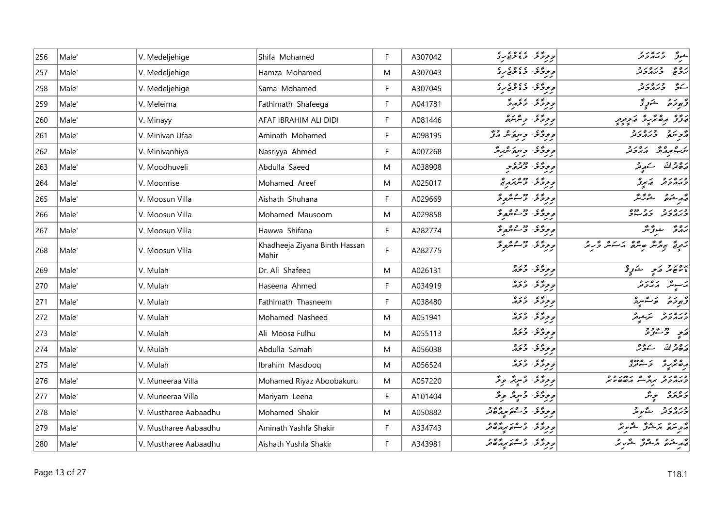| 256 | Male' | V. Medeljehige        | Shifa Mohamed                          | F         | A307042 | ە بەۋىق. ئەغ ۋە يەتى<br>م             | و ره ر د<br><i>د ب</i> رگرفر<br>ا ڪوٽر<br>پ                     |
|-----|-------|-----------------------|----------------------------------------|-----------|---------|---------------------------------------|-----------------------------------------------------------------|
| 257 | Male' | V. Medeljehige        | Hamza Mohamed                          | M         | A307043 | و وگړي وه ده وه و                     | و رە ر د<br><i>د بر</i> گرىز<br>برونج                           |
| 258 | Male' | V. Medeljehige        | Sama Mohamed                           | F         | A307045 | ە يەۋىق. يە يە دە ي                   | سەۋ<br>و رە ر د<br>تر پر تر تر                                  |
| 259 | Male' | V. Meleima            | Fathimath Shafeega                     | F         | A041781 | وودٌ وَ وَوَرِدٌ                      | ژُهِ دَمَ شَوَرٍ تَنْ                                           |
| 260 | Male' | V. Minayy             | AFAF IBRAHIM ALI DIDI                  | F.        | A081446 | ووددو وبريتهم                         | ړوه ره تر ده ډېرې                                               |
| 261 | Male' | V. Minivan Ufaa       | Aminath Mohamed                        | F         | A098195 | وودٌ و سوَسٌ پُرُ                     | 7,013 34 34                                                     |
| 262 | Male' | V. Minivanhiya        | Nasriyya Ahmed                         | F         | A007268 | وودعى وبروكريز                        | ת. בינור הגבע                                                   |
| 263 | Male' | V. Moodhuveli         | Abdulla Saeed                          | M         | A038908 | ه ووگو ۱۵۶۵ ووي.<br>د وگو کوتونو      | أرة مرالله كرمية                                                |
| 264 | Male' | V. Moonrise           | Mohamed Areef                          | M         | A025017 | أو ودكو وده برم                       | ورەرو كەيدى                                                     |
| 265 | Male' | V. Moosun Villa       | Aishath Shuhana                        | F         | A029669 | وودً و سمهودً                         | ۇرىشكى ھەر ش                                                    |
| 266 | Male' | V. Moosun Villa       | Mohamed Mausoom                        | M         | A029858 | وودو. د مشهود                         | כנסנכ נכס<br><i>כג</i> תכ <mark>נ</mark> ג כ <mark>ג</mark> -יכ |
| 267 | Male' | V. Moosun Villa       | Hawwa Shifana                          | F         | A282774 | و دۇنى «دەپمۇ                         | بروء جوڙنگر                                                     |
| 268 | Male' | V. Moosun Villa       | Khadheeja Ziyana Binth Hassan<br>Mahir | F         | A282775 | ووۇ ئۇ ھەمھۇ                          | ر<br>دېږمځ پروگر موسي برخش وربر                                 |
| 269 | Male' | V. Mulah              | Dr. Ali Shafeeg                        | M         | A026131 | و و د گور و و در                      |                                                                 |
| 270 | Male' | V. Mulah              | Haseena Ahmed                          | F         | A034919 | و و د د .<br>  د ر .                  | برسونتر المربرونر                                               |
| 271 | Male' | V. Mulah              | Fathimath Thasneem                     | F         | A038480 | و و د د .<br>  د بر د د د د           | قُهْ وَحَقٌّ وَكَسْبِرْدًا                                      |
| 272 | Male' | V. Mulah              | Mohamed Nasheed                        | M         | A051941 | أو ودٌ وَ وَ وَ وَ وَ                 | ورەرو كەيبو                                                     |
| 273 | Male' | V. Mulah              | Ali Moosa Fulhu                        | M         | A055113 | و دی گوره                             | $\begin{bmatrix} 2 & 2 & 3 \\ 2 & 3 & 6 \end{bmatrix}$          |
| 274 | Male' | V. Mulah              | Abdulla Samah                          | M         | A056038 | ە دۇنى بەدە                           | رَة قرالله سَوَرْ                                               |
| 275 | Male' | V. Mulah              | Ibrahim Masdooq                        | M         | A056524 | ە دۇنۇ . دىگە                         | دەندىق كەسەدە                                                   |
| 276 | Male' | V. Muneeraa Villa     | Mohamed Riyaz Aboobakuru               | M         | A057220 | وودعى ديريم وقر                       | כנסגב גם גדונגב<br>כגובת גם בשם ע                               |
| 277 | Male' | V. Muneeraa Villa     | Mariyam Leena                          | F         | A101404 | و پروگو. د سربهٔ و دُ                 | د ۱٫۵ د مړينگر                                                  |
| 278 | Male' | V. Mustharee Aabaadhu | Mohamed Shakir                         | ${\sf M}$ | A050882 | ه د د د .<br>د د د د . د ت م برازه تر | ورەرو شەرو                                                      |
| 279 | Male' | V. Mustharee Aabaadhu | Aminath Yashfa Shakir                  | F         | A334743 | د د د . د . د . د . د . د             | مەھ سىمى مەكسىر ئىسىمىتى ئىسىمى                                 |
| 280 | Male' | V. Mustharee Aabaadhu | Aishath Yushfa Shakir                  | F         | A343981 | <br>  د د د که د د سره برازه د        | أقرار شوم الرشوش شور مر                                         |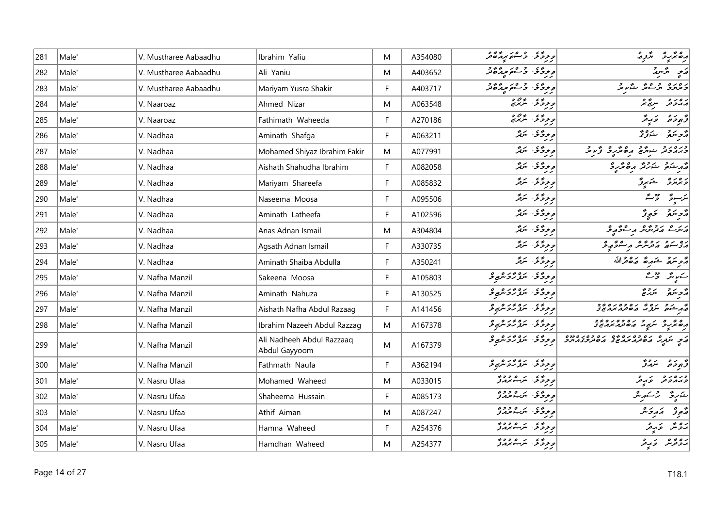| 281 | Male' | V. Mustharee Aabaadhu | Ibrahim Yafiu                              | M         | A354080 |                                                 |                                    |
|-----|-------|-----------------------|--------------------------------------------|-----------|---------|-------------------------------------------------|------------------------------------|
| 282 | Male' | V. Mustharee Aabaadhu | Ali Yaniu                                  | ${\sf M}$ | A403652 | ە يەتەر بەر بەر بەر<br>مەيرىگىن بەر ئەسىر ئەھەر | ړنو پر شر                          |
| 283 | Male' | V. Mustharee Aabaadhu | Mariyam Yusra Shakir                       | F         | A403717 | و د د کار د د د د د د د                         | رەرە دەپ شەر                       |
| 284 | Male' | V. Naaroaz            | Ahmed Nizar                                | M         | A063548 | ە بەر ئەسىر ئەرەر <i>مەندى</i>                  | دەر د سرچ تر                       |
| 285 | Male' | V. Naaroaz            | Fathimath Waheeda                          | F         | A270186 | و د د د . پرې                                   | قرموحرم<br>ءَ ٻرِ تَرُ             |
| 286 | Male' | V. Nadhaa             | Aminath Shafga                             | F         | A063211 | و و د گو  سرگر                                  | د څخه سره د شو تر                  |
| 287 | Male' | V. Nadhaa             | Mohamed Shiyaz Ibrahim Fakir               | M         | A077991 | <i>و و دُ</i> ءَ سَرَبَّرُ                      | ورەرو جوړځ رەپرېرو ژبرې            |
| 288 | Male' | V. Nadhaa             | Aishath Shahudha Ibrahim                   | F         | A082058 | وودٌ وَ سَرَبَّرُ                               | د.<br>در شوه شرور موه در د         |
| 289 | Male' | V. Nadhaa             | Mariyam Shareefa                           | F         | A085832 | و و د گو.<br>  د ر گو. سرگر                     | و ه ده د شورگر                     |
| 290 | Male' | V. Nadhaa             | Naseema Moosa                              | F         | A095506 | او دِدَّدَ تَرَمَّ                              | يترسوق التراكيم                    |
| 291 | Male' | V. Nadhaa             | Aminath Latheefa                           | F         | A102596 | ە يەۋڭز سەنگە                                   | أزوينه وكبور                       |
| 292 | Male' | V. Nadhaa             | Anas Adnan Ismail                          | M         | A304804 | <sub>ع</sub> بودً بحر، سَرَمَّر                 | أريره بروء وبالمعاقبة              |
| 293 | Male' | V. Nadhaa             | Agsath Adnan Ismail                        | F         | A330735 | و دِ دَّ دَ سَرَ تَهُ                           | رە بەد پەرترىش بەسىۋە ي            |
| 294 | Male' | V. Nadhaa             | Aminath Shaiba Abdulla                     | F         | A350241 | <i>و د د ؟</i><br>  بر بر د سر تر تر            | أترج سمعى مشورة أركاه تدالله       |
| 295 | Male' | V. Nafha Manzil       | Sakeena Moosa                              | F         | A105803 | وودَّى سَرْرْدَسْهِ وْ                          | سەرپە ئەستە                        |
| 296 | Male' | V. Nafha Manzil       | Aminath Nahuza                             | F         | A130525 | ومردٌ وَ سَرُورُدَ مَرْجٍ وَ                    | و مرد مرد و                        |
| 297 | Male' | V. Nafha Manzil       | Aishath Nafha Abdul Razaag                 | F         | A141456 | وودة سروتنى شهر                                 | د.<br>د کرد شوه سرز بر هرمه مردم د |
| 298 | Male' | V. Nafha Manzil       | Ibrahim Nazeeh Abdul Razzag                | ${\sf M}$ | A167378 | ووۇتۇ، سروتروشىۋ                                | ם מים משות המינות מים בי           |
| 299 | Male' | V. Nafha Manzil       | Ali Nadheeh Abdul Razzaaq<br>Abdul Gayyoom | ${\sf M}$ | A167379 |                                                 |                                    |
| 300 | Male' | V. Nafha Manzil       | Fathmath Naufa                             | F         | A362194 | وود و مورد مورد                                 | أدُّمُوحَمْ سَمْدَرْ               |
| 301 | Male' | V. Nasru Ufaa         | Mohamed Waheed                             | ${\sf M}$ | A033015 | و وی که به دوره و                               | ورەرو رېږو<br>د پروفر کوپ          |
| 302 | Male' | V. Nasru Ufaa         | Shaheema Hussain                           | F         | A085173 | وود و. س ودوه                                   | شەرپى ئەسەربىر                     |
| 303 | Male' | V. Nasru Ufaa         | Athif Aiman                                | M         | A087247 | و د د د . س په د د و                            | أشجوق أمار حاشر                    |
| 304 | Male' | V. Nasru Ufaa         | Hamna Waheed                               | F         | A254376 | ووڈڈ سکہ مدورہ                                  | رەپر <sub>ق</sub> رىر<br>ئەۋىر ق   |
| 305 | Male' | V. Nasru Ufaa         | Hamdhan Waheed                             | ${\sf M}$ | A254377 | د دي.<br>  د د د د  س په برو د و                | رەپ ئەبەر                          |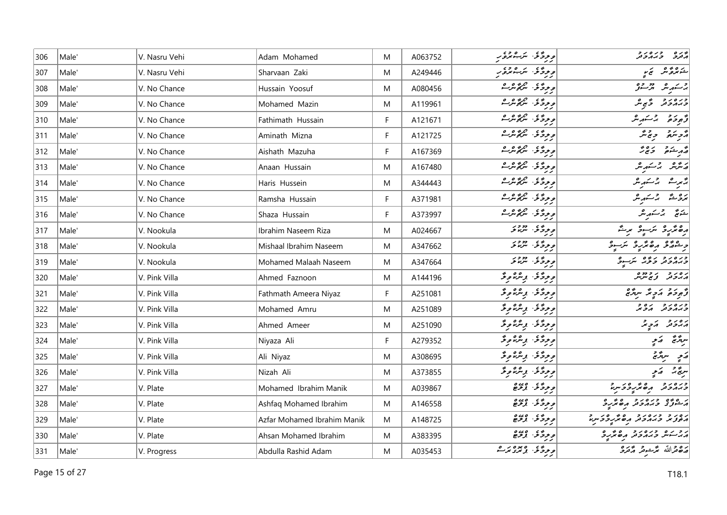| 306 | Male' | V. Nasru Vehi | Adam Mohamed                | M           | A063752 | و دۇ.<br> ورۇۋ. ئىن مەھرىر                                                                         | و ره ر و<br>تر پر ژنر<br>پژره<br>د ترو       |
|-----|-------|---------------|-----------------------------|-------------|---------|----------------------------------------------------------------------------------------------------|----------------------------------------------|
| 307 | Male' | V. Nasru Vehi | Sharvaan Zaki               | M           | A249446 | و دولو. مرکز ده ر                                                                                  | شەمرۇش ئى                                    |
| 308 | Male' | V. No Chance  | Hussain Yoosuf              | M           | A080456 | <i>و د د د و هم هر ه</i>                                                                           | جرسكور مراجع والمحرج والمحر                  |
| 309 | Male' | V. No Chance  | Mohamed Mazin               | M           | A119961 | أو ودُ كل الركومات                                                                                 | ورەرو ئەر                                    |
| 310 | Male' | V. No Chance  | Fathimath Hussain           | F           | A121671 | موجوعي مركز مركز من                                                                                | ۋە ئەسكىرىر                                  |
| 311 | Male' | V. No Chance  | Aminath Mizna               | $\mathsf F$ | A121725 | و دۇ. ئىگۇرى                                                                                       | ومحر المتمر والمحامر                         |
| 312 | Male' | V. No Chance  | Aishath Mazuha              | F           | A167369 | أو و د د د . مرکز مرگ                                                                              | وكرمشكا ومحار                                |
| 313 | Male' | V. No Chance  | Anaan Hussain               | M           | A167480 | و دۇ ئى سرگۇ س                                                                                     | ە ئىر ئىر ئىسكىر ئىر                         |
| 314 | Male' | V. No Chance  | Haris Hussein               | M           | A344443 | و دِ دَ دَ سُرُ تَهْرُ مَرْ -                                                                      | مجموت برستمبر مر<br> -<br>                   |
| 315 | Male' | V. No Chance  | Ramsha Hussain              | F           | A371981 | ویژد به مرگزمین                                                                                    | ىروش برىسىر ش                                |
| 316 | Male' | V. No Chance  | Shaza Hussain               | F           | A373997 | أَوْدِدَّةَ لَيُرْتَمُ مَّرْتَ                                                                     | شەنج بەر شەر بىر                             |
| 317 | Male' | V. Nookula    | Ibrahim Naseem Riza         | M           | A024667 | $\overline{\left( \begin{array}{cc} 2 & 0 \\ 2 & 2 \end{array} \right)}$                           | رەقرۇ ترىن برگ                               |
| 318 | Male' | V. Nookula    | Mishaal Ibrahim Naseem      | M           | A347662 | مورځ کې لیږې ته                                                                                    |                                              |
| 319 | Male' | V. Nookula    | Mohamed Malaah Naseem       | M           | A347664 | ە يەدۇبۇ بەدەر<br>بەر                                                                              | ورەر د روە برسو                              |
| 320 | Male' | V. Pink Villa | Ahmed Faznoon               | M           | A144196 | وودعى ويرتاور                                                                                      |                                              |
| 321 | Male' | V. Pink Villa | Fathmath Ameera Niyaz       | F           | A251081 | وودعى ويثناوقه                                                                                     | توجوحه وكحيث سرقمع                           |
| 322 | Male' | V. Pink Villa | Mohamed Amru                | M           | A251089 | وبردعه ويرموعه                                                                                     |                                              |
| 323 | Male' | V. Pink Villa | Ahmed Ameer                 | M           | A251090 | ورددة برمراود                                                                                      | دەر د كەچ ئە                                 |
| 324 | Male' | V. Pink Villa | Niyaza Ali                  | F           | A279352 | ووځوي ویثراویځ                                                                                     | سرژنج وَج                                    |
| 325 | Male' | V. Pink Villa | Ali Niyaz                   | M           | A308695 | ورودة بورهور                                                                                       | سردنج<br>ر<br>دي                             |
| 326 | Male' | V. Pink Villa | Nizah Ali                   | M           | A373855 | أورونجو ويثراونخ                                                                                   | سرچ پر کمبر                                  |
| 327 | Male' | V. Plate      | Mohamed Ibrahim Manik       | M           | A039867 | وودٌ دُ بِينِ وَ عِينِ وَ اللّهِ عَلَيْهِ وَ اللّهِ عَلَيْهِ وَ اللّهِ عَلَيْهِ وَ اللّهِ وَ اللّه | כנסנב גם מבני ביתו                           |
| 328 | Male' | V. Plate      | Ashfaq Mohamed Ibrahim      | M           | A146558 | <i>و و د څ</i> و او ده<br>  د بر                                                                   | ד פנים כנסגב בסיקים<br>ג'יינצ' כמגבע גםיקיב  |
| 329 | Male' | V. Plate      | Azfar Mohamed Ibrahim Manik | M           | A148725 | و و د څو . و و ده                                                                                  | גם גד כגם גד ספי סג<br>הפציג כמהכת הסתיככיתי |
| 330 | Male' | V. Plate      | Ahsan Mohamed Ibrahim       | M           | A383395 | و د د د . و ده ه                                                                                   |                                              |
| 331 | Male' | V. Progress   | Abdulla Rashid Adam         | M           | A035453 | موځو ، او بره بره<br>  مرځو ، او بره بر                                                            | أرە قراللە مۇھەتر ئ <sup>ە</sup> ترى         |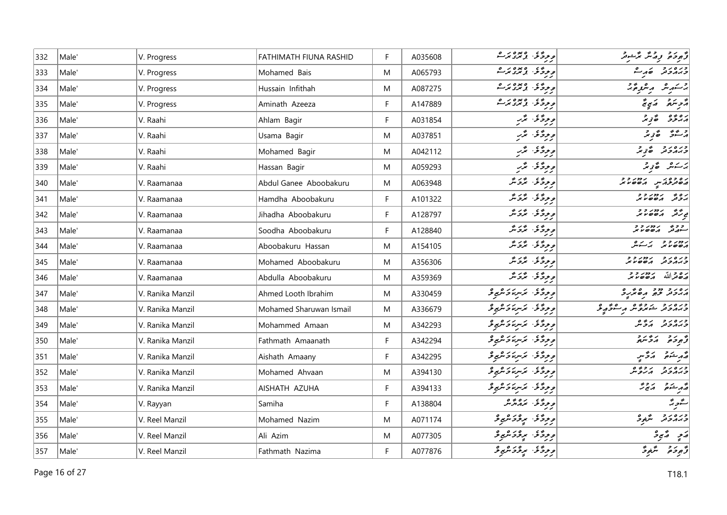| 332 | Male' | V. Progress      | <b>FATHIMATH FIUNA RASHID</b> | F | A035608 | موڅرمي موړي تر ۱۳                          | قرموح والمشر مرتفونه                               |
|-----|-------|------------------|-------------------------------|---|---------|--------------------------------------------|----------------------------------------------------|
| 333 | Male' | V. Progress      | Mohamed Bais                  | M | A065793 | ە يەدەبەر قەيدە بەر ھ                      |                                                    |
| 334 | Male' | V. Progress      | Hussain Infithah              | M | A087275 | <sub>عرم</sub> ورځو، ب <sub>و</sub> روبرغو | بزسكر شريع ويحمد                                   |
| 335 | Male' | V. Progress      | Aminath Azeeza                | F | A147889 | ووۇي ۋىدە بر ھ                             | مزجر ستعرض مذي يتم                                 |
| 336 | Male' | V. Raahi         | Ahlam Bagir                   | F | A031854 | مورد ديگر مير<br>  مريد ديگر مير           | برەپچە<br>ۇ ئەمەر<br>ھ                             |
| 337 | Male' | V. Raahi         | Usama Bagir                   | M | A037851 | ە يەۋڭز ب <sup>ې</sup> ر                   | ر مشرق ھُتِی ک                                     |
| 338 | Male' | V. Raahi         | Mohamed Bagir                 | M | A042112 | <sub>و پ</sub> وژ د بر تر به               | وره رو و د                                         |
| 339 | Male' | V. Raahi         | Hassan Bagir                  | M | A059293 | ا <sub>ع</sub> ودً د .<br>پر               | بركسكس كأزنر                                       |
| 340 | Male' | V. Raamanaa      | Abdul Ganee Aboobakuru        | M | A063948 | و د د د .<br>  د ر د د .                   | גפרפגית גמריקר                                     |
| 341 | Male' | V. Raamanaa      | Hamdha Aboobakuru             | F | A101322 | <i>و د د</i> وگر مرکز مگر                  | נים נחינים<br>גבת השסית                            |
| 342 | Male' | V. Raamanaa      | Jihadha Aboobakuru            | F | A128797 | وودعى محرقة                                | و محمد محمد دو                                     |
| 343 | Male' | V. Raamanaa      | Soodha Aboobakuru             | F | A128840 | و د د د .<br>  د د د د .                   | ככל נמניכי                                         |
| 344 | Male' | V. Raamanaa      | Aboobakuru Hassan             | M | A154105 | مودځو برونتر<br>  پرېږي بردنتر             | رددر دو برگر                                       |
| 345 | Male' | V. Raamanaa      | Mohamed Aboobakuru            | M | A356306 | و دۇڭ ئەد ئە                               | כנסנכ נמנכב<br><mark>ק</mark> גת <i>כ</i> נג מששיג |
| 346 | Male' | V. Raamanaa      | Abdulla Aboobakuru            | M | A359369 | ە دۇنى بۇرگە                               | رە دالله مەدر د                                    |
| 347 | Male' | V. Ranika Manzil | Ahmed Looth Ibrahim           | M | A330459 | وودَّ وَالْمَسْتَوَسْرِهِ وَ               | גם גד בב הסתקב                                     |
| 348 | Male' | V. Ranika Manzil | Mohamed Sharuwan Ismail       | M | A336679 | وِجِرَّدْ بْرَسِرْدَرْشْهِ وْ              | ورەرد بەدەر مەدەپە                                 |
| 349 | Male' | V. Ranika Manzil | Mohammed Amaan                | M | A342293 | و د د د . مرسر ز د د د د                   | ورەر دەر                                           |
| 350 | Male' | V. Ranika Manzil | Fathmath Amaanath             | F | A342294 | وودعى بمبر موسكة ملاح                      | توجدة رورد                                         |
| 351 | Male' | V. Ranika Manzil | Aishath Amaany                | F | A342295 | وودد بمبر اذلكود                           | ۇرشۇ مۇس                                           |
| 352 | Male' | V. Ranika Manzil | Mohamed Ahvaan                | M | A394130 | وودد المستوكر                              | ورەرو روپ <sub>ە</sub> ە<br><i>جەمەدىر مەر</i> ۇس  |
| 353 | Male' | V. Ranika Manzil | AISHATH AZUHA                 | F | A394133 | مِرْدَّدْ بْرَ سِرْدَة مْرِدْ              |                                                    |
| 354 | Male' | V. Rayyan        | Samiha                        | F | A138804 | و در ده ده د ه                             | سَّمْرِ بُرَّ                                      |
| 355 | Male' | V. Reel Manzil   | Mohamed Nazim                 | M | A071174 | أو ولحو المحمد ولا يدمو للمحمد             | ورەرو گەرە                                         |
| 356 | Male' | V. Reel Manzil   | Ali Azim                      | M | A077305 | وودد برود مهرد                             | ړنې په پره                                         |
| 357 | Male' | V. Reel Manzil   | Fathmath Nazima               | F | A077876 | وبردد بردد مهو                             | ۇبوۋۇ ئىرۇ                                         |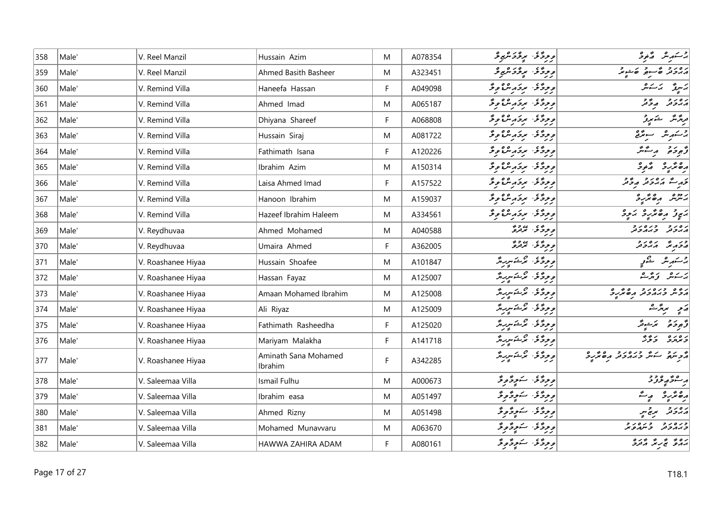| 358 | Male' | V. Reel Manzil     | Hussain Azim                    | M  | A078354 | وودٌ دَ. سردد مهود                       | جەسەمبە ئەھمى ئە                                                      |
|-----|-------|--------------------|---------------------------------|----|---------|------------------------------------------|-----------------------------------------------------------------------|
| 359 | Male' | V. Reel Manzil     | <b>Ahmed Basith Basheer</b>     | M  | A323451 | وودٌ وَ سِوْدَ سُهِ وْ                   |                                                                       |
| 360 | Male' | V. Remind Villa    | Haneefa Hassan                  | F. | A049098 | وودعى بردر مثناور                        |                                                                       |
| 361 | Male' | V. Remind Villa    | Ahmed Imad                      | M  | A065187 | ورودة بردر مده ود                        | در در در در در                                                        |
| 362 | Male' | V. Remind Villa    | Dhiyana Shareef                 | F. | A068808 | ودؤذ برذر مثناور                         | ەرەر ئىزىر<br>سىرەر ئىزىرى                                            |
| 363 | Male' | V. Remind Villa    | Hussain Siraj                   | M  | A081722 | ودؤذ برذر مثناور                         | برسكور شريدهم                                                         |
| 364 | Male' | V. Remind Villa    | Fathimath Isana                 | F. | A120226 | ىردۇر شاھ بۇ<br>اه ورٌوَّ دَ.<br>پ       | ژوده مشتر                                                             |
| 365 | Male' | V. Remind Villa    | Ibrahim Azim                    | M  | A150314 | وبرؤكز برةربندا وإذ                      | وهنر و ړُّود                                                          |
| 366 | Male' | V. Remind Villa    | Laisa Ahmed Imad                | F  | A157522 | ورود بردر معاود                          | توريح ورود ولحمد                                                      |
| 367 | Male' | V. Remind Villa    | Hanoon Ibrahim                  | M  | A159037 | وودً كخسرة وشاور                         | ג ככם פי פי                                                           |
| 368 | Male' | V. Remind Villa    | Hazeef Ibrahim Haleem           | M  | A334561 | ورود. بردر مده ود                        | ړې د موغربه ټره                                                       |
| 369 | Male' | V. Reydhuvaa       | Ahmed Mohamed                   | M  | A040588 | ە يەنى ئەدەر<br>مەنزىق ئىمەنزە           | נפנד בנסנד<br>הגבת בגהבת                                              |
| 370 | Male' | V. Reydhuvaa       | Umaira Ahmed                    | F  | A362005 | و و د کار د و د                          | وير شهر دورو                                                          |
| 371 | Male' | V. Roashanee Hiyaa | Hussain Shoafee                 | M  | A101847 | و دوی گرځسرمه                            | پرستمبر شر <sub>و</sub> ح مشرم                                        |
| 372 | Male' | V. Roashanee Hiyaa | Hassan Fayaz                    | M  | A125007 | و و د د .<br>  و و د د .                 | برسته زوَّت                                                           |
| 373 | Male' | V. Roashanee Hiyaa | Amaan Mohamed Ibrahim           | M  | A125008 | و و د د .<br>  و رو د .                  | روه دره دره ده ندره                                                   |
| 374 | Male' | V. Roashanee Hiyaa | Ali Riyaz                       | M  | A125009 | <br>  مورد كى مى مى مى مى مى مى بىر مىر  | أەيج بىرەر شە                                                         |
| 375 | Male' | V. Roashanee Hiyaa | Fathimath Rasheedha             | F. | A125020 | وودو. برخوره                             | ۇپرۇ ئرىسىگە                                                          |
| 376 | Male' | V. Roashanee Hiyaa | Mariyam Malakha                 | F. | A141718 | و و د د . مرځنېږ پر                      | دەرە دۇۋ                                                              |
| 377 | Male' | V. Roashanee Hiyaa | Aminath Sana Mohamed<br>Ibrahim | F  | A342285 | <br> وودكر برخوس بر                      |                                                                       |
| 378 | Male' | V. Saleemaa Villa  | Ismail Fulhu                    | M  | A000673 | وودد كودور                               | ېږ شو په ووو د<br>سر                                                  |
| 379 | Male' | V. Saleemaa Villa  | Ibrahim easa                    | M  | A051497 | وودد. سودوود                             | رەپر دە يە                                                            |
| 380 | Male' | V. Saleemaa Villa  | Ahmed Rizny                     | M  | A051498 | وودد سودود                               | بر ه بر د<br>م.پر <del>د</del> تر<br>سرچ مېر<br>مربع مېر              |
| 381 | Male' | V. Saleemaa Villa  | Mohamed Munavvaru               | M  | A063670 | ەردۇ. سەردەر                             | و ره ر د<br><b>ر</b> سمه و بر<br>و ر ه ر و<br>و پر پر <del>و</del> تر |
| 382 | Male' | V. Saleemaa Villa  | HAWWA ZAHIRA ADAM               | F. | A080161 | <sub>و پ</sub> وژو. سنږد <sub>گو</sub> ژ | پروی گے رنگ ارتدار                                                    |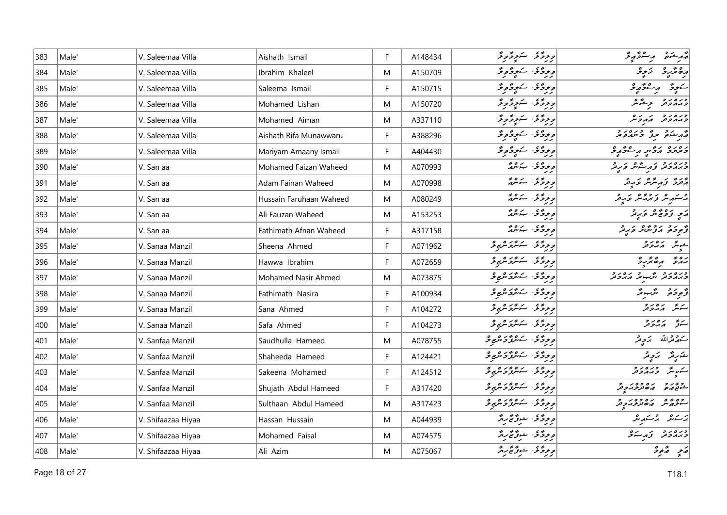| 383 | Male' | V. Saleemaa Villa  | Aishath Ismail          | F  | A148434 | وودة. سَوِدْوِدْ                                  | ومرشوم وبالمحوم                                   |
|-----|-------|--------------------|-------------------------|----|---------|---------------------------------------------------|---------------------------------------------------|
| 384 | Male' | V. Saleemaa Villa  | Ibrahim Khaleel         | M  | A150709 | ووژی خود وژ                                       | رەپرىر ئىچى                                       |
| 385 | Male' | V. Saleemaa Villa  | Saleema Ismail          | F. | A150715 | وودد كالمودود                                     | بر شۇپرو<br>سەرچە                                 |
| 386 | Male' | V. Saleemaa Villa  | Mohamed Lishan          | M  | A150720 | <sub>و پ</sub> وژو. سنږد <i>و</i> ژ               | ورەرو وېشە                                        |
| 387 | Male' | V. Saleemaa Villa  | Mohamed Aiman           | M  | A337110 | ەردۇ. سىردۇرۇ                                     | כנפנד הקבית                                       |
| 388 | Male' | V. Saleemaa Villa  | Aishath Rifa Munawwaru  | F  | A388296 | وودو. سەردە ۋ                                     | أأرشكم برأز ومرود                                 |
| 389 | Male' | V. Saleemaa Villa  | Mariyam Amaany Ismail   | F. | A404430 | ودِدَّدَ سَوِدَّودَ                               | קים קים הזיית תשתייתיים.<br>המחבר האיית תשתייתיים |
| 390 | Male' | V. San aa          | Mohamed Faizan Waheed   | M  | A070993 | و دی که ۲۰۰۰ ک                                    | ورەرو رېږېشكر وكړنځ                               |
| 391 | Male' | V. San aa          | Adam Fainan Waheed      | M  | A070998 | ە دۇنۇ سەھە                                       | م درو که مرمگر کار د                              |
| 392 | Male' | V. San aa          | Hussain Faruhaan Waheed | M  | A080249 | و د څو . سرمه                                     | برسكريكر وترجمه وكباقر                            |
| 393 | Male' | V. San aa          | Ali Fauzan Waheed       | M  | A153253 | و دی کی جا میدان                                  | أرزمي ترويج مكر تربر                              |
| 394 | Male' | V. San aa          | Fathimath Afnan Waheed  | F  | A317158 | و د د د .<br>  د ر د د                            | أوالمحمد والمحافظ المحامية                        |
| 395 | Male' | V. Sanaa Manzil    | Sheena Ahmed            | F  | A071962 | ودۇد سەئەتمىر                                     | شومتر مردم در حرار در است.<br> - تومتر مردم مردم  |
| 396 | Male' | V. Sanaa Manzil    | Hawwa Ibrahim           | F  | A072659 | ەردۇ. سەنگە ھ <sub>ى</sub> دۇ                     |                                                   |
| 397 | Male' | V. Sanaa Manzil    | Mohamed Nasir Ahmed     | M  | A073875 | ودۇ ئەشكەر                                        | כנסנים ומהים גםנים<br>במהכת ית-ים המכת            |
| 398 | Male' | V. Sanaa Manzil    | Fathimath Nasira        | F  | A100934 | و دۇ. سەئىر ئىبى ئ                                | ژَهِ دَهِ مَدَ سَرَ سَرَ سَرَ                     |
| 399 | Male' | V. Sanaa Manzil    | Sana Ahmed              | F  | A104272 | وبرۇ ئەسە ئەرەبىرى ئو                             | سەش مەردىر                                        |
| 400 | Male' | V. Sanaa Manzil    | Safa Ahmed              | F  | A104273 | وبرۇي سەئدىر مىي ئ                                | ستۇ بەردىر                                        |
| 401 | Male' | V. Sanfaa Manzil   | Saudhulla Hameed        | M  | A078755 | <i>ودۋ</i> ۇ. سەمدۇر م <sub>ەت</sub> و            | تحصيرالله برجيعه                                  |
| 402 | Male' | V. Sanfaa Manzil   | Shaheeda Hameed         | F  | A124421 | و دۇنى سەھۇرىق يول                                | لحكم بكاريد وكر                                   |
| 403 | Male' | V. Sanfaa Manzil   | Sakeena Mohamed         | F  | A124512 | ودۇۋ. سەرزۇر مىي ۋ                                | سكي حده در در د                                   |
| 404 | Male' | V. Sanfaa Manzil   | Shujath Abdul Hameed    | F  | A317420 | <sub>و</sub> دِدَّدَ سَنْدَرَ ش <sub>َرْ</sub> دَ | و در ده ده ده دولو د                              |
| 405 | Male' | V. Sanfaa Manzil   | Sulthaan Abdul Hameed   | M  | A317423 | وبرۇي سەھەر ھەبى                                  | وه پره ده وه د و<br>سرگوهر ماه مرکز د کند         |
| 406 | Male' | V. Shifaazaa Hiyaa | Hassan Hussain          | M  | A044939 | ە بەردى. سىر <i>ۇ</i> ئ <sub>ە</sub> ر            | يرىك يرىكىر ھ                                     |
| 407 | Male' | V. Shifaazaa Hiyaa | Mohamed Faisal          | M  | A074575 | ە بەردى. سىر <i>ۇ ئار</i> ىر                      | ورەرو تەرىبى                                      |
| 408 | Male' | V. Shifaazaa Hiyaa | Ali Azim                | M  | A075067 | ە بەردىگە ھەردىگە بەر                             | أمدمج مدهور                                       |
|     |       |                    |                         |    |         |                                                   |                                                   |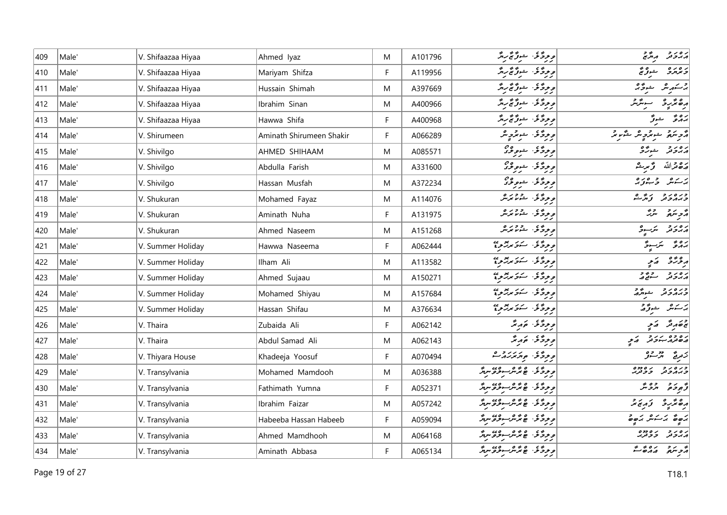| 409 | Male' | V. Shifaazaa Hiyaa | Ahmed Iyaz               | M         | A101796 | ە دۇڭر خوڭ بەر                                                             | پر بر د<br>د بر بح<br>پر ژ د تر         |
|-----|-------|--------------------|--------------------------|-----------|---------|----------------------------------------------------------------------------|-----------------------------------------|
| 410 | Male' | V. Shifaazaa Hiyaa | Mariyam Shifza           | F         | A119956 | ە دۇكى - شەۋڭرىگە                                                          | تر جو بر و<br>تر بر بر بر<br>شەۋىج      |
| 411 | Male' | V. Shifaazaa Hiyaa | Hussain Shimah           | ${\sf M}$ | A397669 | ە بەردى. ھەردىم بەر                                                        | شەرگە بر<br>جەسەمبەر<br>س               |
| 412 | Male' | V. Shifaazaa Hiyaa | Ibrahim Sinan            | M         | A400966 | ە بەردى. ھەردىنى بەر                                                       | ەرھەترىر <sup>ى</sup><br>سەمدىر         |
| 413 | Male' | V. Shifaazaa Hiyaa | Hawwa Shifa              | F         | A400968 | ە بەردى. ھەردىم بەر                                                        | رە پە<br>پەر<br>سندوگر                  |
| 414 | Male' | V. Shirumeen       | Aminath Shirumeen Shakir | F         | A066289 | ووۇڭ ھېتروپىر                                                              | أأدوسكم والموجو المراسمة والمراسر       |
| 415 | Male' | V. Shivilgo        | AHMED SHIHAAM            | M         | A085571 | ە دۇڭرىسى دە                                                               | رەر دىگە ئىدىمى<br>مەرى                 |
| 416 | Male' | V. Shivilgo        | Abdulla Farish           | ${\sf M}$ | A331600 | ە بەرگە ئەرەمى<br>مەمۇكە سىرە بىرى                                         | مَرْهُ قَرْاللّه وَ مِرْثٌ              |
| 417 | Male' | V. Shivilgo        | Hassan Musfah            | ${\sf M}$ | A372234 | ە پەر ئۇ سىمە ئەدە<br>ئەر                                                  | يركس وبادونه                            |
| 418 | Male' | V. Shukuran        | Mohamed Fayaz            | ${\sf M}$ | A114076 | و دۇ ئاستىمەتتىر                                                           | وره دو کرون                             |
| 419 | Male' | V. Shukuran        | Aminath Nuha             | F         | A131975 | و دۇنۇ ، شەرىمىرىش                                                         | ړځ سرچ<br>ىترجى                         |
| 420 | Male' | V. Shukuran        | Ahmed Naseem             | M         | A151268 | ە دۇكى شەرىرىش                                                             | رەر ئەسر                                |
| 421 | Male' | V. Summer Holiday  | Hawwa Naseema            | F         | A062444 | ووۇتۇ سۆزىرىدى                                                             | رە بە<br>برادى<br>ىئرىسەدى              |
| 422 | Male' | V. Summer Holiday  | Ilham Ali                | ${\sf M}$ | A113582 | مورځ ځو سوه سره په                                                         | أرور و الأمو                            |
| 423 | Male' | V. Summer Holiday  | Ahmed Sujaau             | ${\sf M}$ | A150271 | ە دۇئى سەرىرىدى                                                            | ره رح و و و د<br>پررو تر                |
| 424 | Male' | V. Summer Holiday  | Mohamed Shiyau           | M         | A157684 | ە دۇئى سەرىرىدى                                                            | شەدگەر<br>و رە ر د<br><i>د بر</i> بر تر |
| 425 | Male' | V. Summer Holiday  | Hassan Shifau            | M         | A376634 | ە دۇئى سەرىرىدى                                                            | ير سنه شورٌ ۾<br> -<br>  سنڌ شريح       |
| 426 | Male' | V. Thaira          | Zubaida Ali              | F         | A062142 | ووژځو غهرتز                                                                | ة قام قدم ترجم                          |
| 427 | Male' | V. Thaira          | Abdul Samad Ali          | M         | A062143 | ء درگاه کارنگ                                                              | ره وه ربر و پر کرم                      |
| 428 | Male' | V. Thiyara House   | Khadeeja Yoosuf          | F         | A070494 | وود و مرکز م                                                               | ئەرقى ئەسىمۇ                            |
| 429 | Male' | V. Transylvania    | Mohamed Mamdooh          | M         | A036388 | و در دی. ه د کره سرده سر                                                   | כנסנכ נסכבס<br><i>כג</i> ובט בכטג       |
| 430 | Male' | V. Transylvania    | Fathimath Yumna          | F         | A052371 | ە بەرگە قاھرىسى ئەرگە ئاپرىگە ئاپرىگە                                      | ژ <sub>بو څ</sub> و دوبر                |
| 431 | Male' | V. Transylvania    | Ibrahim Faizar           | ${\sf M}$ | A057242 | <sub>و پر</sub> وگو. ھ <sub>ا</sub> پڑ <sub>ھر سو</sub> و <sub>گ</sub> برگ | رە ئۆر ئەرىنى                           |
| 432 | Male' | V. Transylvania    | Habeeba Hassan Habeeb    | F         | A059094 | ە دۇن ھۆسەرە <i>ئەيد</i>                                                   | 500172601                               |
| 433 | Male' | V. Transylvania    | Ahmed Mamdhooh           | ${\sf M}$ | A064168 | و دۇنى ھۇشرىيە دەس                                                         | ره ر د ره دده<br>پررونر وونربر          |
| 434 | Male' | V. Transylvania    | Aminath Abbasa           | F         | A065134 | و دۇڭ ھېرىر سوۋىرىد                                                        | ړ ده ده ده ش                            |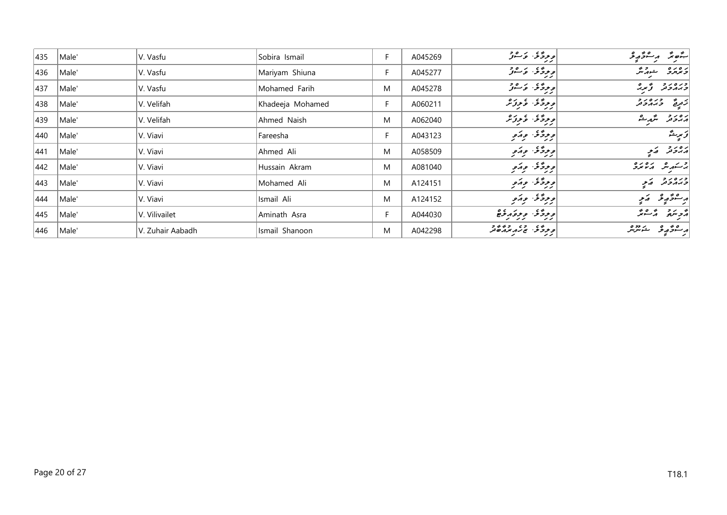| 435 | <i>Male'</i> | V. Vasfu         | Sobira Ismail    | F  | A045269 | د د د د . په د                                       | الشقصتر<br>ەرسەۋەي ۋ               |
|-----|--------------|------------------|------------------|----|---------|------------------------------------------------------|------------------------------------|
| 436 | Male'        | V. Vasfu         | Mariyam Shiuna   | F  | A045277 | <sub>عرم</sub> ورځو. ئۈس <sup>9</sup> ۇ              | ر ه ر ه<br>د بربر د<br>شەرگە ئىگر  |
| 437 | Male'        | V. Vasfu         | Mohamed Farih    | M  | A045278 | موجوعى عرضو                                          | و ر ه ر د<br>د برگرفتر<br>ۇ ئىر بۇ |
| 438 | <i>Male'</i> | V. Velifah       | Khadeeja Mohamed | F  | A060211 | وودٌ دَ کا وزَ تَرُ                                  | زَمْرِيحَ وَبَرُوونر               |
| 439 | Male'        | V. Velifah       | Ahmed Naish      | M  | A062040 | وودًى وُورَدْ                                        | أرەر ئەشمىر                        |
| 440 | Male'        | V. Viavi         | Fareesha         | F  | A043123 | ووژځو وړو                                            | وَ مَرِيشٌ                         |
| 441 | Male'        | V. Viavi         | Ahmed Ali        | M  | A058509 | ووژڈ ورَو                                            | پروتر کمی                          |
| 442 | Male'        | V. Viavi         | Hussain Akram    | M  | A081040 | ووژځو· وړَو                                          | ج سے مدام مدام کر دیا ہے کہ ا      |
| 443 | Male'        | V. Viavi         | Mohamed Ali      | M  | A124151 | وودة ومستقبة المستقبة المستقبة                       | دره د د په کر                      |
| 444 | Male'        | V. Viavi         | Ismail Ali       | M  | A124152 | وودة ومستقبة المستقبة المستقبة                       | پرسموګوريو کامو                    |
| 445 | Male'        | V. Vilivailet    | Aminath Asra     | F. | A044030 | ودؤكي ودوردة                                         | أزوينهم أرمث                       |
| 446 | Male'        | V. Zuhair Aabadh | Ismail Shanoon   | M  | A042298 | د د ده د د د د د د<br>$\overline{\phantom{a}}$<br>ンン | أرباءة ويدعدهم المتفرج             |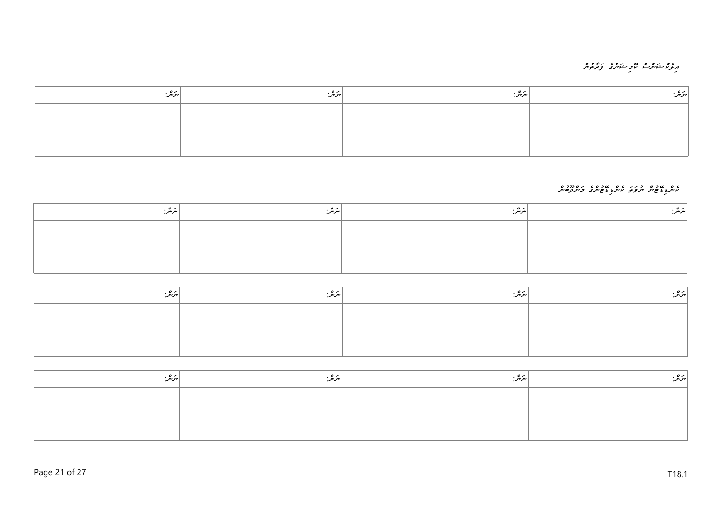## *w7qAn8m? sCw7mRo>u; wEw7mRw;sBo<*

| ' مرمر | 'يئرىثر: |
|--------|----------|
|        |          |
|        |          |
|        |          |

## *w7q9r@w7m> sCw7qHtFoFw7s; mAm=q7 w7qHtFoFw7s;*

| يئرمىش: | $^{\circ}$<br>. سر سر<br>$\cdot$ | $\circ$ $\sim$<br>-- | يئرمثر |
|---------|----------------------------------|----------------------|--------|
|         |                                  |                      |        |
|         |                                  |                      |        |
|         |                                  |                      |        |

| انترنثر: | $^{\circ}$ | يبرهر | $^{\circ}$<br>سرسر |
|----------|------------|-------|--------------------|
|          |            |       |                    |
|          |            |       |                    |
|          |            |       |                    |

| ىرتىر: | 。<br>سر سر | .,<br>مرسر |
|--------|------------|------------|
|        |            |            |
|        |            |            |
|        |            |            |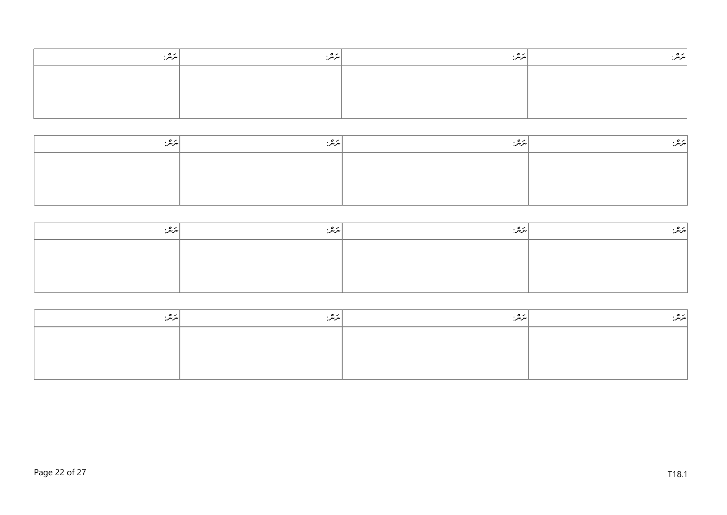| يزهر | $^{\circ}$ | ىئرىتر: |  |
|------|------------|---------|--|
|      |            |         |  |
|      |            |         |  |
|      |            |         |  |

| <sup>.</sup> سرسر. |  |
|--------------------|--|
|                    |  |
|                    |  |
|                    |  |

| ىئرىتر. | $\sim$ | ا بر هه. | لىرىش |
|---------|--------|----------|-------|
|         |        |          |       |
|         |        |          |       |
|         |        |          |       |

| 。<br>مرس. | $\overline{\phantom{a}}$<br>مر مىر | يتريثر |
|-----------|------------------------------------|--------|
|           |                                    |        |
|           |                                    |        |
|           |                                    |        |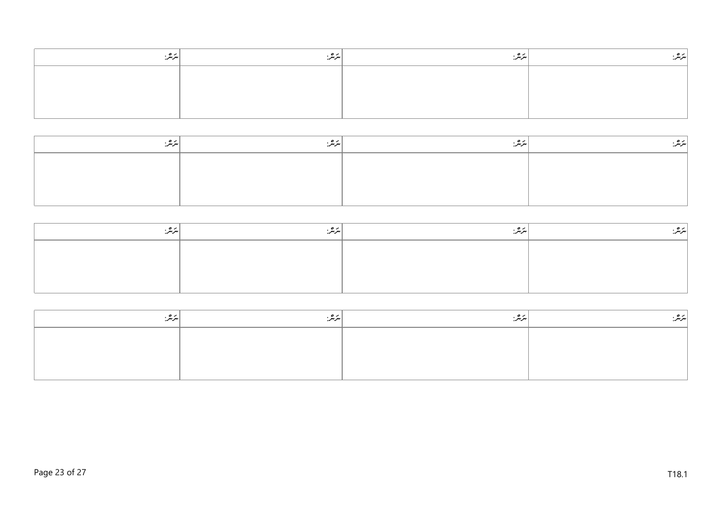| ير هو . | $\overline{\phantom{a}}$ | يرمر | اير هنه. |
|---------|--------------------------|------|----------|
|         |                          |      |          |
|         |                          |      |          |
|         |                          |      |          |

| ىر تىر: | $\circ$ $\sim$<br>" سرسر . | يبرحه | o . |
|---------|----------------------------|-------|-----|
|         |                            |       |     |
|         |                            |       |     |
|         |                            |       |     |

| 'تترنثر: | . .<br>يسمونس. |  |
|----------|----------------|--|
|          |                |  |
|          |                |  |
|          |                |  |

|  | . ه |
|--|-----|
|  |     |
|  |     |
|  |     |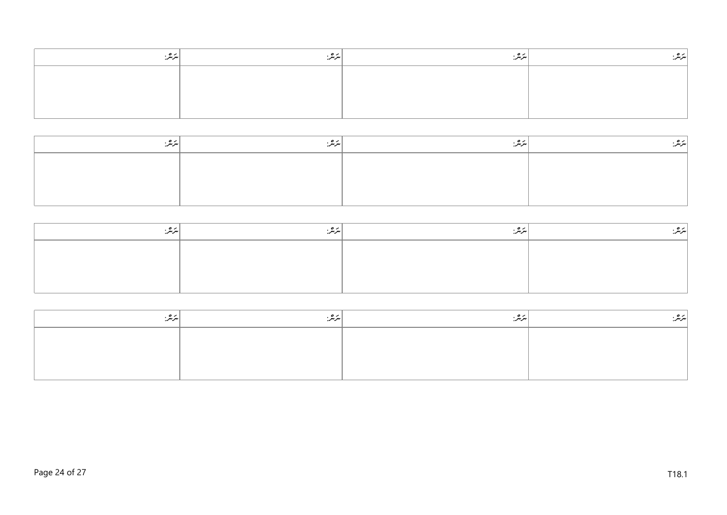| ير هو . | $\overline{\phantom{a}}$ | يرمر | اير هنه. |
|---------|--------------------------|------|----------|
|         |                          |      |          |
|         |                          |      |          |
|         |                          |      |          |

| ئىرتىر: | $\sim$<br>ا سرسر . | يئرمثر | o . |
|---------|--------------------|--------|-----|
|         |                    |        |     |
|         |                    |        |     |
|         |                    |        |     |

| انترنثر: | ر ه |  |
|----------|-----|--|
|          |     |  |
|          |     |  |
|          |     |  |

|  | . ه |
|--|-----|
|  |     |
|  |     |
|  |     |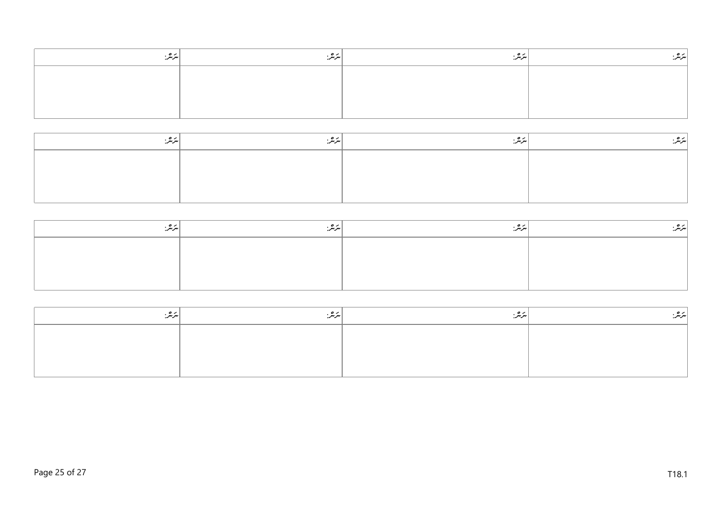| $\cdot$ | ο. | $\frac{\circ}{\cdot}$ | $\sim$<br>سرسر |
|---------|----|-----------------------|----------------|
|         |    |                       |                |
|         |    |                       |                |
|         |    |                       |                |

| ايرعر: | ر ه<br>. . |  |
|--------|------------|--|
|        |            |  |
|        |            |  |
|        |            |  |

| بر ه | 。 | $\sim$<br>َ سومس. |  |
|------|---|-------------------|--|
|      |   |                   |  |
|      |   |                   |  |
|      |   |                   |  |

| 。<br>. س | ىرىىر |  |
|----------|-------|--|
|          |       |  |
|          |       |  |
|          |       |  |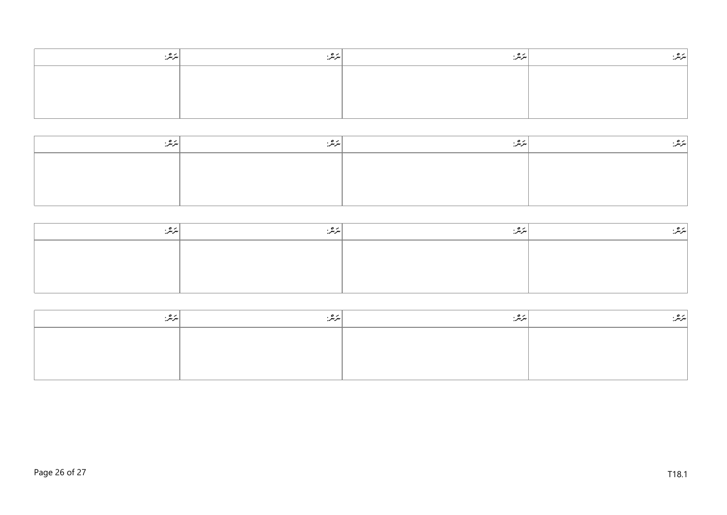| ير هو . | $\overline{\phantom{a}}$ | يرمر | لتزمثن |
|---------|--------------------------|------|--------|
|         |                          |      |        |
|         |                          |      |        |
|         |                          |      |        |

| ىر تىر: | $\circ$ $\sim$<br>" سرسر . | يبرحه | o . |
|---------|----------------------------|-------|-----|
|         |                            |       |     |
|         |                            |       |     |
|         |                            |       |     |

| 'تترنثر: | 。<br>,,,, |  |
|----------|-----------|--|
|          |           |  |
|          |           |  |
|          |           |  |

|  | . ه |
|--|-----|
|  |     |
|  |     |
|  |     |